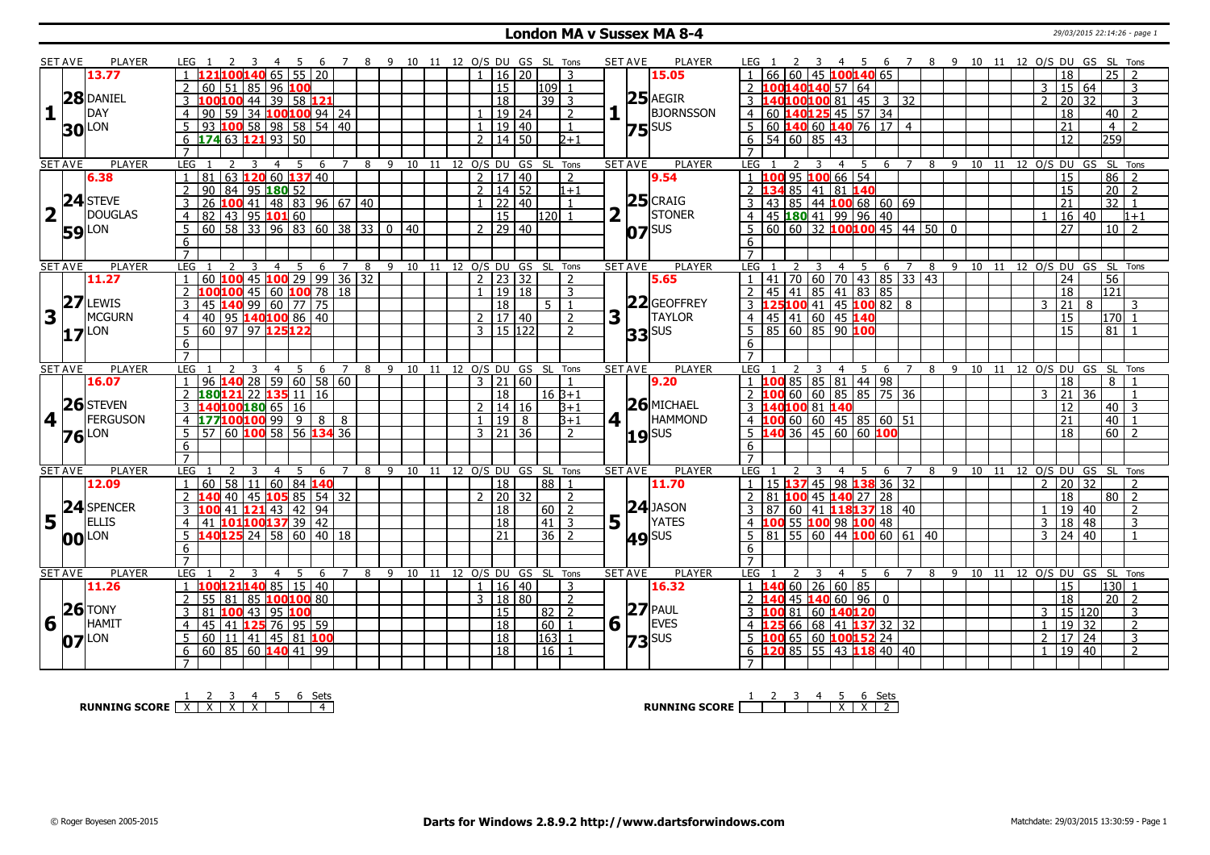#### **London MA v Sussex MA 8-4** 29/03/2015 22:14:26 - page 1

|              | <b>SET AVE</b> | <b>PLAYER</b>                                                                                                        | $\overline{2}$<br>$\mathbf{B}$<br>LEG 1                                 | 45                    |        | 6 7 8 9 10 11 12 O/S DU GS SL Tons |                                |         |                            |                |                      |       |                      |                | PLAYER<br><b>SET AVE</b>                | LEG 1                                                               |                         | 2 3 4 5 6 7 8 9 10 11 12 O/S DU GS SL Tons |                |   |                                |                            |                |                     |                  |                         |
|--------------|----------------|----------------------------------------------------------------------------------------------------------------------|-------------------------------------------------------------------------|-----------------------|--------|------------------------------------|--------------------------------|---------|----------------------------|----------------|----------------------|-------|----------------------|----------------|-----------------------------------------|---------------------------------------------------------------------|-------------------------|--------------------------------------------|----------------|---|--------------------------------|----------------------------|----------------|---------------------|------------------|-------------------------|
|              |                | 13.77                                                                                                                | 65<br>121100140                                                         |                       | 55 20  |                                    |                                |         |                            |                | 16 <sup>1</sup>      | 20    |                      | 3              | 15.05                                   |                                                                     |                         | 60 45 100140 65                            |                |   |                                |                            |                | 18                  | 25               |                         |
|              |                |                                                                                                                      | 60   51   85   96   <mark>100</mark>                                    |                       |        |                                    |                                |         |                            |                | $\overline{15}$      |       | 109                  | $\overline{1}$ |                                         | $100140140$ 57 64                                                   |                         |                                            |                |   |                                |                            | 3              | 15 64               |                  | 3                       |
|              |                | 28 DANIEL                                                                                                            | $100100$ 44 39 58 121<br>3                                              |                       |        |                                    |                                |         |                            |                | $\overline{18}$      |       | $39$ 3               |                | $25$ AEGIR                              | 3 140100100 81 45 3 32                                              |                         |                                            |                |   |                                |                            | $\overline{z}$ | 20 32               |                  | 3                       |
| $\mathbf{1}$ |                | <b>DAY</b>                                                                                                           | 59 34 100 100 94 24<br>l 90-<br>$\overline{4}$                          |                       |        |                                    |                                |         |                            | $\mathbf{1}$   |                      | 19 24 |                      | $\overline{2}$ | <b>BJORNSSON</b>                        | 4 60 140 125 45 57 34                                               |                         |                                            |                |   |                                |                            |                | 18                  | 40               | $\overline{z}$          |
|              |                | LON                                                                                                                  | 93 100 58 98 58 54 40<br>$5^{\circ}$                                    |                       |        |                                    |                                |         |                            | $\mathbf{1}$   |                      | 19 40 |                      | $\overline{1}$ |                                         | $5 60 $ <b>140</b> 60 <b>140</b> 76 17 4                            |                         |                                            |                |   |                                |                            |                | 21                  | $\overline{4}$   | $\overline{2}$          |
|              | 30             |                                                                                                                      | $6\overline{174}63\overline{121}93\overline{50}$                        |                       |        |                                    |                                |         |                            |                | $2 \mid 14 \mid 50$  |       |                      | $2+1$          | $75$ <sup>SUS</sup>                     | $6$ 54 60 85 43                                                     |                         |                                            |                |   |                                |                            |                | 12                  | $\overline{259}$ |                         |
|              |                |                                                                                                                      | $\overline{7}$                                                          |                       |        |                                    |                                |         |                            |                |                      |       |                      |                |                                         |                                                                     |                         |                                            |                |   |                                |                            |                |                     |                  |                         |
|              | <b>SET AVE</b> | <b>PLAYER</b>                                                                                                        | LEG <sub>1</sub><br>2<br>$\overline{3}$                                 | $\overline{4}$<br>5   | 6      | 7                                  | 8 9 10 11 12 O/S DU GS SL Tons |         |                            |                |                      |       |                      |                | <b>PLAYER</b><br><b>SET AVE</b>         | LEG 1<br>2                                                          | $\overline{\mathbf{3}}$ | 4 <sub>5</sub>                             |                |   | 6 7 8 9 10 11 12 O/S DU GS     |                            |                |                     |                  | SL Tons                 |
|              |                | 6.38                                                                                                                 | $ 81 $ 63 <b>120</b> 60 <b>137</b> 40<br>$\overline{1}$                 |                       |        |                                    |                                |         |                            |                | 2   17   40          |       |                      | $\overline{2}$ | 9.54                                    | 1 100 95 100 66 54                                                  |                         |                                            |                |   |                                |                            |                | $\overline{15}$     |                  | $86$ 2                  |
|              |                |                                                                                                                      | 90   84   95   180   52<br>2                                            |                       |        |                                    |                                |         |                            |                | $2 \mid 14 \mid 52$  |       |                      | $1+1$          |                                         | 2 134 85 41 81 140                                                  |                         |                                            |                |   |                                |                            |                | 15                  | 20 <sup>°</sup>  | $\sqrt{2}$              |
|              |                | 24 STEVE                                                                                                             | 26 100 41 48 83 96 67 40                                                |                       |        |                                    |                                |         |                            |                |                      | 22 40 |                      |                | $25$ CRAIG                              | 43 85 44 100 68 60 69<br>3                                          |                         |                                            |                |   |                                |                            |                | 21                  | $\overline{32}$  |                         |
|              |                | <b>DOUGLAS</b>                                                                                                       | 82 43 95 101 60<br>$\overline{4}$                                       |                       |        |                                    |                                |         |                            |                | $\overline{15}$      |       | 120 <sup>1</sup>     |                | STONER                                  | $ 45 $ 180 41 99 96 40<br>4                                         |                         |                                            |                |   |                                |                            |                | 16 40               |                  | $1 + 1$                 |
|              |                |                                                                                                                      | 60   58   33   96   83   60   38   33   0   40                          |                       |        |                                    |                                |         |                            |                | $2 \mid 29 \mid 40$  |       |                      |                |                                         | $5 60 60 32$ 100100 45 44 50 0                                      |                         |                                            |                |   |                                |                            |                | $\overline{27}$     |                  | 10 <sup>2</sup>         |
|              |                | <b>59</b> LON                                                                                                        | 5                                                                       |                       |        |                                    |                                |         |                            |                |                      |       |                      |                | $O7$ <sup>SUS</sup>                     |                                                                     |                         |                                            |                |   |                                |                            |                |                     |                  |                         |
|              |                |                                                                                                                      | 6<br>$\overline{7}$                                                     |                       |        |                                    |                                |         |                            |                |                      |       |                      |                |                                         | 6                                                                   |                         |                                            |                |   |                                |                            |                |                     |                  |                         |
|              |                |                                                                                                                      | LEG                                                                     |                       |        |                                    |                                |         |                            |                |                      |       |                      |                |                                         | LEG                                                                 |                         |                                            |                |   |                                |                            |                |                     |                  |                         |
|              | <b>SET AVE</b> | <b>PLAYER</b><br>11.27                                                                                               | 60   <mark>100</mark> 45   <b>100</b> 29   99   36   32<br>$\mathbf{1}$ | -5<br>$\overline{4}$  | 6      | 8<br>7                             | 9                              | $10$ 11 |                            |                | $2$   23   32        |       | 12 O/S DU GS SL Tons | $\overline{2}$ | <b>SET AVE</b><br><b>PLAYER</b><br>5.65 | $1  41   70   60   70   43   85   33   43$                          |                         | $4 \quad 5$                                | 6 7            | 8 | 9 10                           | 11 12 O/S DU GS            |                | 24                  | 56               | SL Tons                 |
|              |                |                                                                                                                      | $\overline{2}$                                                          |                       |        |                                    |                                |         |                            | $\blacksquare$ |                      | 19 18 |                      |                |                                         | 45 41 85 41 83 85<br>2 <sup>1</sup>                                 |                         |                                            |                |   |                                |                            |                |                     |                  |                         |
|              | 27             | LEWIS                                                                                                                | $100100$ 45 60 100 78 18                                                |                       |        |                                    |                                |         |                            |                |                      |       | $5\vert 1$           | 3              | 22 GEOFFREY                             |                                                                     |                         |                                            |                |   |                                |                            |                | 18                  | 121              |                         |
|              |                | <b>MCGURN</b>                                                                                                        | 45 140 99 60 77 75<br>3                                                 |                       |        |                                    |                                |         |                            |                | $\overline{18}$      |       |                      |                | <b>TAYLOR</b>                           | 3 125 100 41 45 100 82 8                                            |                         |                                            |                |   |                                |                            | 3              | $ 21\rangle$        | 8                | 3                       |
| 3            |                |                                                                                                                      | 40 95 140 100 86 40<br>$\overline{4}$                                   |                       |        |                                    |                                |         |                            |                | $2 \mid 17 \mid 40$  |       |                      | 2              | 3                                       | 4 45 41 60 45 140                                                   |                         |                                            |                |   |                                |                            |                | $\overline{15}$     |                  | $170$ 1                 |
|              | 17             | LON                                                                                                                  | 60 97 97 125 122<br>5                                                   |                       |        |                                    |                                |         |                            |                | $3 \mid 15 \mid 122$ |       |                      | $\mathcal{L}$  | $33$ sus                                | 85 60 85 90 100<br>$\overline{5}$                                   |                         |                                            |                |   |                                |                            |                | $\overline{15}$     | 81               |                         |
|              |                |                                                                                                                      | 6                                                                       |                       |        |                                    |                                |         |                            |                |                      |       |                      |                |                                         | 6                                                                   |                         |                                            |                |   |                                |                            |                |                     |                  |                         |
|              |                |                                                                                                                      |                                                                         |                       |        |                                    |                                |         |                            |                |                      |       |                      |                | <b>SET AVE</b><br><b>PLAYER</b>         | LEG                                                                 | $\overline{4}$          | 6                                          |                |   |                                |                            |                |                     |                  |                         |
|              |                |                                                                                                                      |                                                                         |                       |        |                                    |                                |         |                            |                |                      |       |                      |                |                                         |                                                                     |                         |                                            |                |   |                                |                            |                |                     |                  |                         |
|              | <b>SET AVE</b> | <b>PLAYER</b>                                                                                                        | LEG<br>3                                                                | 5<br>$\overline{4}$   | 6      | $\overline{7}$<br>8                | 9                              | 10      | 11                         |                |                      |       | 12 O/S DU GS SL Tons |                |                                         |                                                                     |                         | 5                                          |                | 8 | -9                             | 10 11 12 0/S DU GS SL Tons |                |                     |                  |                         |
|              |                | 16.07                                                                                                                | $96 \text{ 140} \cdot 28 \cdot 59 \cdot 60 \cdot 58 \cdot 60$           |                       |        |                                    |                                |         |                            |                | $3 \mid 21 \mid 60$  |       |                      |                | 9.20                                    | LOO 85   85   81   44   98                                          |                         |                                            |                |   |                                |                            |                | 18                  | 8                |                         |
|              |                |                                                                                                                      | $180121$ 22 135 11 16<br>2                                              |                       |        |                                    |                                |         |                            |                | $\overline{18}$      |       | $16B+1$              |                |                                         | 2 100 60 60 85 85 75 36                                             |                         |                                            |                |   |                                |                            | 3              | 21                  | 36               |                         |
|              |                | 26 STEVEN                                                                                                            |                                                                         |                       |        |                                    |                                |         |                            |                | $2 \mid 14 \mid 16$  |       |                      | $B+1$          | $26$ MICHAEL                            | 140100 81 140<br>3 <b>H</b>                                         |                         |                                            |                |   |                                |                            |                | 12                  |                  | $40 \mid 3$             |
|              | 4 <sup>1</sup> | FERGUSON                                                                                                             |                                                                         |                       | 8      | 8                                  |                                |         |                            |                | $1 \mid 19 \mid 8$   |       |                      | $3+1$          | $4$   <br><b>HAMMOND</b>                | $4 \vert 100 \vert 60 \vert 60 \vert 45 \vert 85 \vert 60 \vert 51$ |                         |                                            |                |   |                                |                            |                | 21                  | 40               |                         |
|              |                | <b>76</b> LON                                                                                                        | 3 140100180 65 16<br>4 177100100 99 9<br>5 57 60 100 58 56              |                       | 134 36 |                                    |                                |         |                            |                | $3 \mid 21 \mid 36$  |       |                      | 2              |                                         | .40 36   45   60   60 <mark>100</mark><br>5 <sub>1</sub>            |                         |                                            |                |   |                                |                            |                | 18                  | 60               | 2                       |
|              |                |                                                                                                                      | 6                                                                       |                       |        |                                    |                                |         |                            |                |                      |       |                      |                | $19$ sus                                | 6                                                                   |                         |                                            |                |   |                                |                            |                |                     |                  |                         |
|              |                |                                                                                                                      | $\overline{7}$                                                          |                       |        |                                    |                                |         |                            |                |                      |       |                      |                |                                         | $\overline{7}$                                                      |                         |                                            |                |   |                                |                            |                |                     |                  |                         |
|              | <b>SET AVE</b> | <b>PLAYER</b>                                                                                                        | LEG<br>2<br>3                                                           | -5<br>$\overline{4}$  | -6     | $\overline{7}$<br>8                | 9                              |         | 10 11 12 O/S DU GS SL Tons |                |                      |       |                      |                | <b>PLAYER</b><br><b>SET AVE</b>         | LEG                                                                 | $\overline{4}$          | 5<br>6                                     | $\overline{7}$ |   | 8 9 10 11 12 O/S DU GS SL Tons |                            |                |                     |                  |                         |
|              |                | 12.09                                                                                                                | 58   11   60   84   <mark>140</mark><br>$1 \overline{60}$               |                       |        |                                    |                                |         |                            |                | $\overline{18}$      |       | 88                   | $\overline{1}$ | 11.70                                   | 15 137 45 98 138 36 32<br>1 <sup>1</sup>                            |                         |                                            |                |   |                                |                            | $\overline{2}$ | 20 32               |                  | $\overline{z}$          |
|              |                |                                                                                                                      | 2 140 40 45 105 85 54 32                                                |                       |        |                                    |                                |         |                            |                | 2 20 32              |       |                      | 2              |                                         | 2 81 100 45 140 27 28                                               |                         |                                            |                |   |                                |                            |                | $\overline{18}$     |                  | $80$   2                |
|              |                |                                                                                                                      | $100$ 41 $121$ 43 42 94                                                 |                       |        |                                    |                                |         |                            |                | 18                   |       | 60                   | 2              | $24$ JASON                              | $3-1$<br>  87   60   41   <mark>118137</mark> 18   40               |                         |                                            |                |   |                                |                            |                | 19 40               |                  | 2                       |
|              |                |                                                                                                                      | $10110013739$ 42<br>$\overline{4}$<br>41                                |                       |        |                                    |                                |         |                            |                | $\overline{18}$      |       | 41                   | 3              | $5\vert \bar{1}$<br><b>YATES</b>        | LOO 55 100 98 100                                                   |                         | 48                                         |                |   |                                |                            | 3              | 18 48               |                  | 3                       |
|              |                | $\begin{array}{c} \n\boxed{5} \begin{array}{c} \n\boxed{24} \text{SPERCER} \\ \boxed{1} \n\end{array} \n\end{array}$ | $5\overline{140125}$ 24 58 60 40 18                                     |                       |        |                                    |                                |         |                            |                | $\overline{21}$      |       | $36$   2             |                |                                         | $5$ 81 55 60 44 100 60 61 40                                        |                         |                                            |                |   |                                |                            |                | $3 \ 24 \ 40$       |                  | $\overline{1}$          |
|              |                | <b>00</b> LON                                                                                                        | 6                                                                       |                       |        |                                    |                                |         |                            |                |                      |       |                      |                | <b>49</b> SUS                           | 6                                                                   |                         |                                            |                |   |                                |                            |                |                     |                  |                         |
|              |                |                                                                                                                      | $\overline{7}$                                                          |                       |        |                                    |                                |         |                            |                |                      |       |                      |                |                                         | $\overline{7}$                                                      |                         |                                            |                |   |                                |                            |                |                     |                  |                         |
|              | <b>SET AVE</b> | PLAYER                                                                                                               | LEG<br>3                                                                | $\overline{4}$<br>.5. | -6     | 8                                  | -9                             | 10      | 11                         |                |                      |       | 12 O/S DU GS SL Tons |                | <b>SET AVE</b><br>PLAYER                | LEG                                                                 | 3                       | $4 \quad 5$<br>-6                          | $\overline{7}$ | 8 | 9 10                           |                            |                |                     |                  | 11 12 0/S DU GS SL Tons |
|              |                | 11.26                                                                                                                | $1 \mid 10012114085 \mid 15 \mid 40$                                    |                       |        |                                    |                                |         |                            |                | 1   16   40          |       |                      | 3              | 16.32                                   | L40 60 26 60 85<br>$1 \; 1$                                         |                         |                                            |                |   |                                |                            |                | 15                  |                  | 130 1                   |
|              |                |                                                                                                                      | 55 81 <br>85 100100 80<br>2                                             |                       |        |                                    |                                |         |                            | $\mathbf{3}$   |                      | 18 80 |                      | 2              |                                         | 40 45 140 60 96 0<br>2 <sub>1</sub>                                 |                         |                                            |                |   |                                |                            |                | $\overline{18}$     | $\overline{20}$  | 2                       |
|              |                | $26$ TONY                                                                                                            | 81 100 43 95 100<br>3                                                   |                       |        |                                    |                                |         |                            |                | $\overline{15}$      |       | $82$   2             |                | $27$ PAUL                               | 3 100 81 60 140120                                                  |                         |                                            |                |   |                                |                            | $\overline{3}$ | 15 120              |                  | 3                       |
|              | $6\sqrt{ }$    | <b>HAMIT</b>                                                                                                         | 45 41 125 76 95 59<br>$\overline{4}$                                    |                       |        |                                    |                                |         |                            |                | $\overline{18}$      |       | 60                   | $\overline{1}$ | $6\sqrt{ }$<br><b>EVES</b>              | $25666841$ 137 32 32<br>$\overline{4}$                              |                         |                                            |                |   |                                |                            | $\overline{1}$ | $19 \overline{)32}$ |                  | $\overline{2}$          |
|              | 07             | LON                                                                                                                  | $60$ 11 41 45 81 100<br>5                                               |                       |        |                                    |                                |         |                            |                | $\overline{18}$      |       | 163 1                |                |                                         | 00 65 60 100152 24                                                  |                         |                                            |                |   |                                |                            | $\overline{2}$ | 17 24               |                  | $\overline{3}$          |
|              |                |                                                                                                                      | 60 85 60 140 41 99<br>6                                                 |                       |        |                                    |                                |         |                            |                | $\overline{18}$      |       | 16                   |                | $73$ SUS                                | 6 $120$ 85 55 43 118 40 40                                          |                         |                                            |                |   |                                |                            | $\mathbf{1}$   | 19 40               |                  | $\overline{2}$          |

**RUNNING SCORE**  $\begin{array}{|c|c|c|c|c|}\n\hline\n & 2 & 3 & 4 & 5 & 6 & \text{Sets} \\
\hline\n\end{array}$ 

**RUNNING SCORE** 1 2 3 4 5 X 6 X Sets 2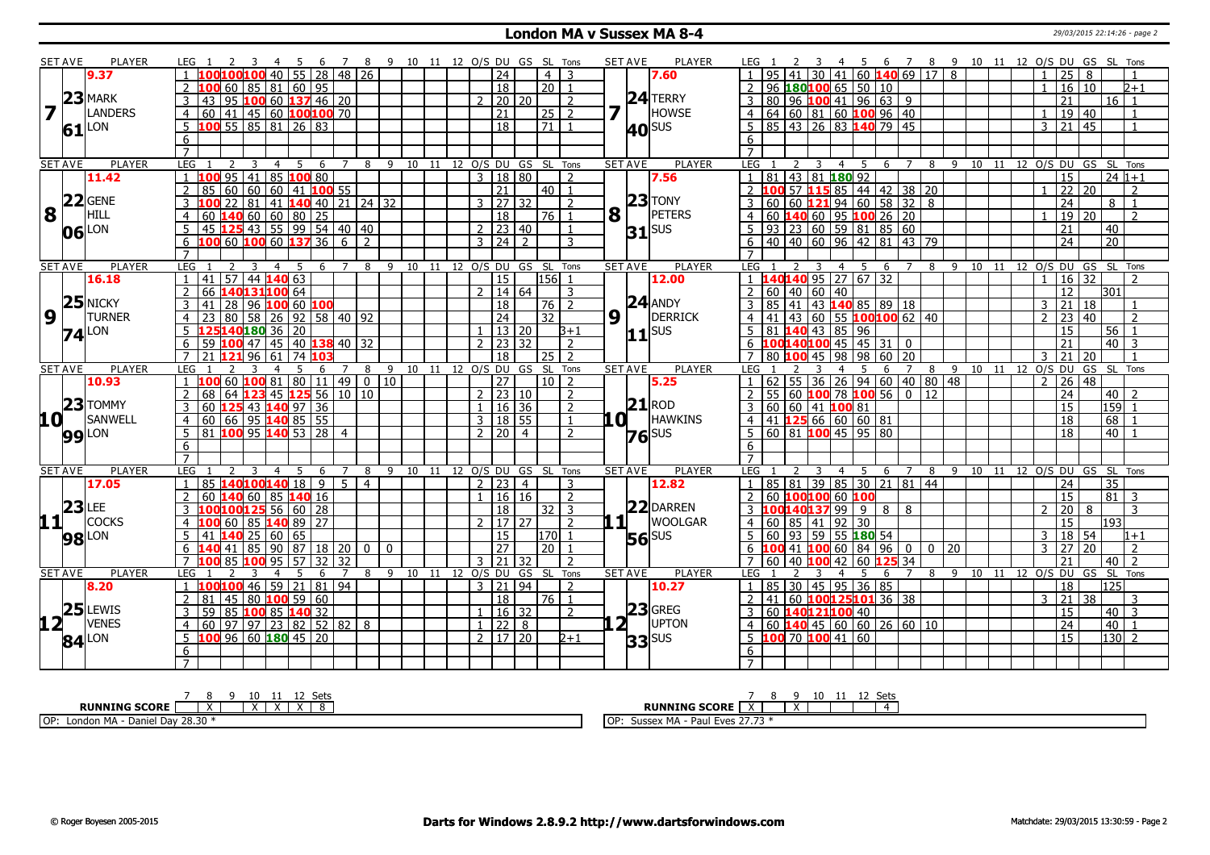#### **London MA v Sussex MA 8-4** 29/03/2015 22:14:26 - page 2

|                         | <b>SET AVE</b> | <b>PLAYER</b>       | LEG 1<br>4 5<br>- 6                                                                    | 7 8 9 10 11 12 O/S DU GS SL Tons |                                |  |                                            |                |                           |                                            |                           | <b>SET AVE</b><br>PLAYER                 | 6 7 8 9 10 11 12 O/S DU GS SL Tons<br>LEG 1<br>45                                                                                                                              |
|-------------------------|----------------|---------------------|----------------------------------------------------------------------------------------|----------------------------------|--------------------------------|--|--------------------------------------------|----------------|---------------------------|--------------------------------------------|---------------------------|------------------------------------------|--------------------------------------------------------------------------------------------------------------------------------------------------------------------------------|
|                         |                | 9.37                | 55 28 48 26<br>LOO100 40 I                                                             |                                  |                                |  | 24                                         |                | 4                         | 3                                          |                           | 7.60                                     | $30 \mid 41 \mid 60$ <b>140</b> 69 17 8<br>25<br>8                                                                                                                             |
|                         |                |                     | 60 85 81 60 95                                                                         |                                  |                                |  | 18                                         |                | $\overline{20}$           | $\overline{1}$                             |                           |                                          | 16 10<br>96 180100 65 50 10<br>2<br>b+1<br>$\mathbf{1}$                                                                                                                        |
|                         |                | $23$ MARK           | 95 100 60 137 46 20<br>3<br>43                                                         |                                  |                                |  | 2   20   20                                |                |                           | $\overline{z}$                             |                           | $24$ TERRY                               | 80   96   100   41   96   63   9<br>3<br>21<br>16 <sup>1</sup><br>$\vert$ 1                                                                                                    |
| $\overline{\mathbf{z}}$ | LΓ             | <b>LANDERS</b>      | 41   45   60 <b>100100</b> 70<br>$\overline{4}$<br>60                                  |                                  |                                |  | 21                                         |                | 25 2                      |                                            | 7                         | HOWSE                                    | $4 64 60 81 60$ 100 96 40<br>19 40<br>$\mathbf{1}$<br>$\mathbf{1}$                                                                                                             |
|                         |                | LON                 | 100 55 85 81 26 83<br>5                                                                |                                  |                                |  | $\overline{18}$                            |                | $\overline{21}$           | $\overline{1}$                             |                           |                                          | 85 43 26 83 140 79 45<br>5<br>$\overline{21}$<br>$\overline{45}$<br>3                                                                                                          |
|                         | 61             |                     | 6                                                                                      |                                  |                                |  |                                            |                |                           |                                            |                           | <b>40</b> SUS                            | 6                                                                                                                                                                              |
|                         |                |                     | $\overline{7}$                                                                         |                                  |                                |  |                                            |                |                           |                                            |                           |                                          | $\overline{7}$                                                                                                                                                                 |
|                         | <b>SET AVE</b> | <b>PLAYER</b>       | LEG<br>2<br>5<br>- 6<br>3<br>4                                                         | $\overline{7}$                   | 8 9 10 11 12 0/S DU GS SL Tons |  |                                            |                |                           |                                            |                           | <b>SET AVE</b><br>PLAYER                 | LEG<br>8 9 10 11 12 O/S DU GS<br>SL Tons<br>$\overline{4}$<br>5<br>6<br>$\overline{7}$<br><sup>2</sup><br>3                                                                    |
|                         |                | 11.42               | $95 \mid 41 \mid 85 \mid 100 \mid 80$                                                  |                                  |                                |  | $\mathbf{3}$                               | 18 80          |                           | $\overline{z}$                             |                           | 7.56                                     | $1 \ 81 \ 43 \ 81 \ 180 \ 92$<br>$\overline{15}$<br>$\overline{24 1+1}$                                                                                                        |
|                         |                |                     | 60 60 60 41 100 55<br>$\overline{2}$<br>85                                             |                                  |                                |  | $\overline{21}$                            |                | $40$   1                  |                                            |                           |                                          | 2 100 57 115 85 44 42 38 20<br>22<br>20<br>2                                                                                                                                   |
|                         |                | $ 22 $ GENE         | 81  <br>41 <b>140</b> 40 21 24 32                                                      |                                  |                                |  | 3                                          | 27   32        |                           |                                            |                           | $23$ TONY                                | 21946058328<br>24<br>$60   60  $ <b>1</b>                                                                                                                                      |
| 8                       | $\vert \vert$  | HILL                |                                                                                        |                                  |                                |  |                                            |                |                           |                                            |                           | PETERS                                   | 8                                                                                                                                                                              |
|                         |                |                     | $140$ 60 60 80 25<br>60                                                                |                                  |                                |  | 18                                         |                | 76 I                      |                                            | $\mathbf{8}$ <sup>T</sup> |                                          | $\vert$ 60 <b>140</b> 60 <b>95 100</b> 26 20<br>19 20<br>4                                                                                                                     |
|                         |                | 06 LON              | 45 125 43 55 99 54 40 40                                                               |                                  |                                |  | $2 \mid 23 \mid 40$                        |                |                           | $\mathbf{1}$                               |                           | $31$ <sup>SUS</sup>                      | .5.<br>21<br>40                                                                                                                                                                |
|                         |                |                     | 100 60 100 60 137 36<br>6                                                              | 6<br>$\overline{2}$              |                                |  | $3 \mid 24$                                | $\overline{2}$ |                           | $\mathcal{R}$                              |                           |                                          | 40 40 60 96 42 81 43 79<br>$\overline{20}$<br>6<br>24                                                                                                                          |
|                         |                |                     | $\overline{7}$                                                                         |                                  |                                |  |                                            |                |                           |                                            |                           |                                          | $\overline{7}$                                                                                                                                                                 |
|                         | <b>SET AVE</b> | PLAYER              | LEG<br>.5<br>-6<br>$\sqrt{57/44}$ 140 63<br>41<br>$\mathbf{1}$                         | 8<br>7                           | 10<br>9                        |  | 11 12 0/S DU GS SL Tons<br>$\overline{15}$ |                | 156                       | $\overline{1}$                             |                           | <b>SET AVE</b><br><b>PLAYER</b><br>12.00 | LEG<br>10<br>12 0/S DU GS<br>SL Tons<br>8<br>9<br>11<br>.5.<br>6<br>$1 \overline{140140}$ 95 27 67 32<br>$16 \overline{)32}$<br>$\overline{1}$                                 |
|                         |                | 16.18               | $\overline{2}$<br>66                                                                   |                                  |                                |  | 2   14   64                                |                |                           |                                            |                           |                                          | 12<br>301                                                                                                                                                                      |
|                         |                | $25$ NICKY          | 140131100 64                                                                           |                                  |                                |  |                                            |                |                           | 3                                          |                           | $24$ ANDY                                | 2   60   40   60   40                                                                                                                                                          |
| $\overline{9}$          |                | <b>TURNER</b>       | 96 100 60 100<br>3<br>41<br>28                                                         |                                  |                                |  | $ 18\rangle$                               |                | 76   2                    |                                            |                           | <b>DERRICK</b>                           | 3   85   41   43   140   85   89   18<br>$3 \mid 21$<br>  18                                                                                                                   |
|                         |                |                     | 80<br>58<br>92 58 40 92<br>$\overline{4}$<br>26                                        |                                  |                                |  | $\overline{24}$                            |                | $\overline{32}$           |                                            | $9\sqrt{1}$               |                                          | $ 41 43 60 55$ 100100 62 40<br>$\overline{23}$<br>$\overline{2}$<br>$\overline{40}$<br>$\mathcal{D}$<br>$\overline{4}$                                                         |
|                         |                | $74$ <sup>LON</sup> | 12514018036<br>20                                                                      |                                  |                                |  |                                            | 13 20          |                           | $B+1$                                      |                           | $11$ sus                                 | 81 140 43 85 96<br>15<br>56<br>5.                                                                                                                                              |
|                         |                |                     | $100$ 47 45 40 $138$ 40 32<br>59                                                       |                                  |                                |  | $\mathcal{L}$                              | 23   32        |                           | $\overline{2}$                             |                           |                                          | 6 $100140100$ 45 45 31 0<br>21<br>40<br>3                                                                                                                                      |
|                         |                |                     | 96<br>61<br>74                                                                         |                                  |                                |  | 18                                         |                | 25                        | $\overline{2}$                             |                           |                                          | $60 \overline{)20}$<br>21<br>$\overline{20}$<br>98<br>98<br>3<br>45                                                                                                            |
|                         | <b>SET AVE</b> | <b>PLAYER</b>       | LEG<br>6<br>60<br>100 81<br>80<br>11   49                                              | 8                                | 9<br>$0$   10                  |  | 10 11 12 0/S DU GS SL<br>27                |                | 10 <sup>1</sup>           | Tons<br>$\overline{z}$                     |                           | <b>SET AVE</b><br><b>PLAYER</b>          | 10 11 12 0/S DU GS SL Tons<br>LEG<br>9<br>8<br>6<br>62 55<br>$\overline{36}$<br>26 94 60 40 80 48<br>$\overline{26}$<br>$\overline{2}$<br>48                                   |
|                         |                | 10.93               | 68                                                                                     |                                  |                                |  |                                            |                |                           |                                            |                           | 5.25                                     | $55 60 $ 100 78 100 56 0 12<br>$\overline{z}$<br>$\overline{z}$                                                                                                                |
|                         |                | $23$ TOMMY          | $\overline{2}$<br>$123$ 45 125 56 10 10<br>64<br>60                                    |                                  |                                |  | $2 \mid 23 \mid 10$<br>$\mathbf{1}$        |                |                           | $\overline{2}$<br>$\overline{2}$           |                           | $21$ <sub>ROD</sub>                      | 24<br>40<br>$159$ 1<br>$60$ 60 41 100 81<br>$\overline{15}$                                                                                                                    |
|                         |                |                     | 3<br>125 43 140 97 36                                                                  |                                  |                                |  |                                            | $16 \mid 36$   |                           | $\overline{1}$                             |                           | <b>HAWKINS</b>                           | 3                                                                                                                                                                              |
| $10^+$                  |                | SANWELL             | 66 95 140 85 55<br>$\overline{4}$<br>60<br>81<br>100                                   |                                  |                                |  | 3   18   55                                |                |                           |                                            | .O I                      |                                          | $4 \mid 41 \mid 125 \mid 66 \mid 60 \mid 60 \mid 81$<br>18<br>68<br>18                                                                                                         |
|                         |                | <b>99</b> LON       | 95 <b>140</b> 53 28<br>5 <sup>2</sup>                                                  | $\overline{4}$                   |                                |  | 2   20   4                                 |                |                           | 2                                          |                           | $76$ <sup>SUS</sup>                      | 5   60   81   100   45   95   80<br>40                                                                                                                                         |
|                         |                |                     | 6<br>$\overline{7}$                                                                    |                                  |                                |  |                                            |                |                           |                                            |                           |                                          | 6<br>$\overline{7}$                                                                                                                                                            |
|                         |                |                     |                                                                                        |                                  |                                |  |                                            |                |                           |                                            |                           |                                          |                                                                                                                                                                                |
|                         | <b>SET AVE</b> | <b>PLAYER</b>       | LEG<br>5<br>3<br>$\overline{4}$<br>6<br>140100140 18<br>$\overline{9}$<br>$\mathbf{1}$ | 7<br>8<br>-5<br>$\overline{4}$   |                                |  | 9 10 11 12 O/S DU GS SL Tons<br>2 23       | $\overline{4}$ |                           |                                            |                           | PLAYER<br><b>SET AVE</b>                 | LEG<br>9 10 11 12 O/S DU GS SL Tons<br>$\overline{4}$<br>- 5<br>6<br>$\overline{7}$<br>8<br>  85   81   39   85   30   21   81   44<br>35<br>$\overline{24}$<br>$\overline{1}$ |
|                         |                | 17.05               | 85                                                                                     |                                  |                                |  |                                            |                |                           | 3<br>$\overline{2}$                        |                           | 12.82                                    |                                                                                                                                                                                |
|                         | $23$ LEE       |                     | $\overline{2}$<br>140 60<br>85 <b>140</b> 16<br>60<br>$100125$ 56 60 28                |                                  |                                |  | $1 \mid 16 \mid 16$                        |                |                           |                                            |                           | 22 DARREN                                | 15<br>81<br>2<br>60 100<br>60 100100<br>- 3<br>.3799                                                                                                                           |
| 11                      |                | <b>COCKS</b>        |                                                                                        |                                  |                                |  | 18<br>$\mathcal{P}$                        |                | 32 <sub>1</sub>           | $\overline{3}$<br>$\overline{\phantom{0}}$ |                           | $1\overline{1}$<br><b>WOOLGAR</b>        | 8<br>20<br>3<br>9<br>8<br>8<br>193                                                                                                                                             |
|                         |                |                     | 85 <b>140</b> 89 27<br>60<br>4                                                         |                                  |                                |  |                                            | 17 27          |                           |                                            |                           |                                          | 15<br>85<br>92<br>30<br>4<br>60<br>41                                                                                                                                          |
|                         | <b>98</b> LON  |                     | 5.<br>$140$ 25 60 65<br>41                                                             |                                  |                                |  | $\overline{15}$                            |                | l170 l<br>$\overline{20}$ | $\overline{1}$                             |                           | <b>56</b> SUS                            | 5   60   93   59   55   180   54<br>18 54<br>$\mathbf{3}$<br>$1 + 1$<br>$\overline{27}$<br>41 100<br>60<br>84<br>96<br>20<br>20                                                |
|                         |                |                     |                                                                                        |                                  |                                |  |                                            |                |                           |                                            |                           |                                          | $\mathbf 0$<br>$\mathbf 0$<br>3<br>2<br>6                                                                                                                                      |
|                         |                |                     | 6<br>85<br>90<br>87<br>$18 \mid 20$<br>41                                              | $\mathbf{0}$                     | $\overline{0}$                 |  | $\overline{27}$                            |                |                           |                                            |                           |                                          |                                                                                                                                                                                |
|                         |                |                     | $\overline{7}$<br>95<br>LOO 85<br>57<br>32 32<br>100                                   |                                  |                                |  | $3 \mid 21$                                | l 32           |                           | $\overline{2}$                             |                           |                                          | 40<br>$\overline{2}$<br>$\overline{7}$<br>42<br>60 125 34<br>21<br><b>60</b><br>40 100                                                                                         |
|                         | <b>SET AVE</b> | PLAYER              | LEG<br>5<br>-6                                                                         | 7<br>8                           | 9 10 11 12 O/S DU              |  |                                            |                | GS SL Tons                |                                            |                           | <b>SET AVE</b><br><b>PLAYER</b>          | 9 10 11 12 O/S DU GS SL Tons<br><b>LEG</b><br>$\overline{7}$<br>8<br>.5.<br>-6                                                                                                 |
|                         |                | 8.20                | 46 59 21 81 94<br>$\mathbf{1}$<br>100100                                               |                                  |                                |  | 3   21   94                                |                |                           | $\overline{2}$                             |                           | 10.27                                    | 85   30   45   95   36   85<br>125<br>18<br>$\overline{1}$                                                                                                                     |
|                         |                |                     | 45 80 <b>100</b> 59 60<br>2<br>81                                                      |                                  |                                |  | $\overline{18}$                            |                | 76 1                      |                                            |                           |                                          | $141$ 60 <b>100125101</b> 36 38<br>$\overline{21}$<br>$\overline{38}$<br>2<br>3<br>3                                                                                           |
|                         |                | $25$ LEWIS          | 85 100 85 140 32<br>3<br>59                                                            |                                  |                                |  | 1   16   32                                |                |                           | 2                                          |                           | $23$ GREG                                | 3 60 140121100 40<br>$\overline{15}$<br>$40 \mid 3$                                                                                                                            |
| 12 <sub>1</sub>         |                | <b>VENES</b>        | 60<br>  97   97   23   82   52   82   8<br>$\overline{4}$                              |                                  |                                |  | $1 \mid 22 \mid 8$                         |                |                           |                                            |                           | UPTON                                    | $4   60   140   45   60   60   26   60   10$<br>40<br>$\overline{24}$<br>$\overline{1}$                                                                                        |
|                         |                |                     | 5<br>100 96 60 180 45 20                                                               |                                  |                                |  | 2   17   20                                |                |                           | $2 + 1$                                    |                           |                                          | $130$ 2<br>5 $100$ 70 $100$ 41 60<br>$\overline{15}$                                                                                                                           |
|                         |                | $84$ <sup>LON</sup> | 6<br>$\overline{7}$                                                                    |                                  |                                |  |                                            |                |                           |                                            |                           | $33$ SUS                                 | 6<br>$\overline{7}$                                                                                                                                                            |

| 10                                                                                        | ≂^−<br>$-1$                                                               |
|-------------------------------------------------------------------------------------------|---------------------------------------------------------------------------|
| <b>RUNNING SCORE</b><br>$\lambda$<br>$\overline{\phantom{a}}$<br>$\overline{\phantom{a}}$ | <b>RUNNING SCORE</b>                                                      |
| 20.20<br>MAA<br>ОP<br>Dav 28.30<br>Londo<br>Daniel                                        | $- - - -$<br>$\vee$ MA<br>l OF<br>$-1100$<br>וונפים.<br><b>SUSSE</b><br>. |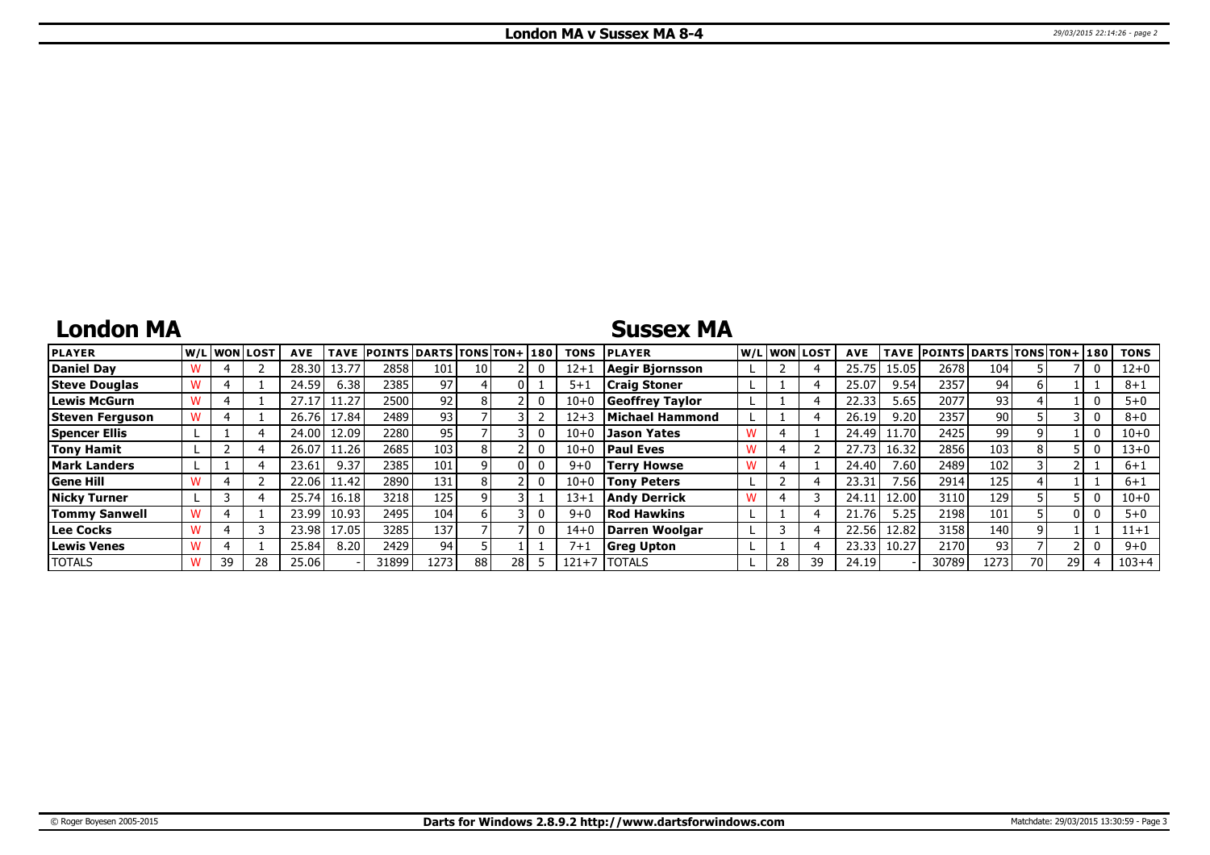## **London MA**

## **Sussex MA**

| <b>PLAYER</b>        |    | lw/Llwonllost | <b>AVE</b> | <b>TAVE</b> | <b>POINTS DARTS TONS TON+180</b> |      |    |    | <b>TONS</b> | <b>PLAYER</b>          | W/L WON LOST |    | <b>AVE</b> | <b>TAVE</b> | <b>POINTS DARTS TONS TON+ 180</b> |      |    |    | <b>TONS</b> |
|----------------------|----|---------------|------------|-------------|----------------------------------|------|----|----|-------------|------------------------|--------------|----|------------|-------------|-----------------------------------|------|----|----|-------------|
| Daniel Dav           |    |               | 28.30      | 13.77       | 2858                             | 101  | 10 |    | $12 + 1$    | Aegir Bjornsson        |              |    | 25.75      | 15.05       | 2678                              | 104  |    |    | $12 + 0$    |
| <b>Steve Douglas</b> |    |               | 24.59      | 6.38        | 2385                             | 97   |    |    | $5 + 1$     | <b>Craig Stoner</b>    |              |    | 25.07      | 9.54        | 2357                              | 94   |    |    | $8 + 1$     |
| Lewis McGurn         |    |               |            | 1.27        | 2500                             | 92   |    |    | $10 + 0$    | <b>Geoffrey Taylor</b> |              |    | 22.33      | 5.65        | 2077                              | 93   |    |    | $5 + 0$     |
| Steven Ferguson      |    |               | 26.76      | 17.84       | 2489                             | 93,  |    |    | $12 + 3$    | Michael Hammond        |              |    | 26.19      | 9.20        | 2357                              | 90 l |    |    | $8 + 0$     |
| <b>Spencer Ellis</b> |    |               | 24.00 l    | 12.09       | 2280                             | 95   |    |    | $10 + 0$    | <b>Jason Yates</b>     |              |    | 24.49      | 11.70       | 2425                              | 99   |    |    | $10 + 0$    |
| Tony Hamit           |    |               | 26.07      | 11.26       | 2685                             | 103  |    |    | $10 + 0$    | <b>Paul Eves</b>       |              |    | 27.73      | 16.32       | 2856                              | 103  |    |    | $13 + 0$    |
| <b>Mark Landers</b>  |    |               | 23.61      | 9.37        | 2385                             | 101  |    |    | $9 + 0$     | <b>Terry Howse</b>     |              |    | 24.40      | 7.60        | 2489                              | 102  |    |    | $6 + 1$     |
| <b>Gene Hill</b>     |    |               | 22.061     | 11.42       | 2890                             | 131  |    |    | $10 + 0$    | <b>Tony Peters</b>     |              |    | 23.31      | 7.56        | 2914                              | 125  |    |    | $6 + 1$     |
| <b>Nicky Turner</b>  |    |               | 25.74      | 16.18       | 3218                             | 125  |    |    | $13 + 1$    | <b>Andy Derrick</b>    |              |    | 24.1       | 12.00       | 3110                              | 129  |    |    | 10+0        |
| <b>Tommy Sanwell</b> |    |               | 23.99      | 10.93       | 2495                             | 104  |    |    | $9 + 0$     | <b>Rod Hawkins</b>     |              |    | 21.76      | 5.25        | 2198                              | 101  |    |    | $5 + 0$     |
| Lee Cocks            |    |               | 23.98      | 17.05       | 3285                             | 137  |    |    | $14 + 0$    | Darren Woolgar         |              |    | 22.56      | 12.82       | 3158                              | 140  |    |    | $11+1$      |
| <b>Lewis Venes</b>   |    |               | 25.84      | 8.20        | 2429                             | 94   |    |    | $7 + 1$     | <b>Greg Upton</b>      |              |    | 23.33      | 10.27       | 2170                              | 93   |    |    | $9 + 0$     |
| <b>TOTALS</b>        | 39 | 28            | 25.06      |             | 31899                            | 1273 | 88 | 28 | $121 + 7$   | <b>ITOTALS</b>         | 28           | 39 | 24.19      |             | 30789                             | 1273 | 70 | 29 | $103 + 4$   |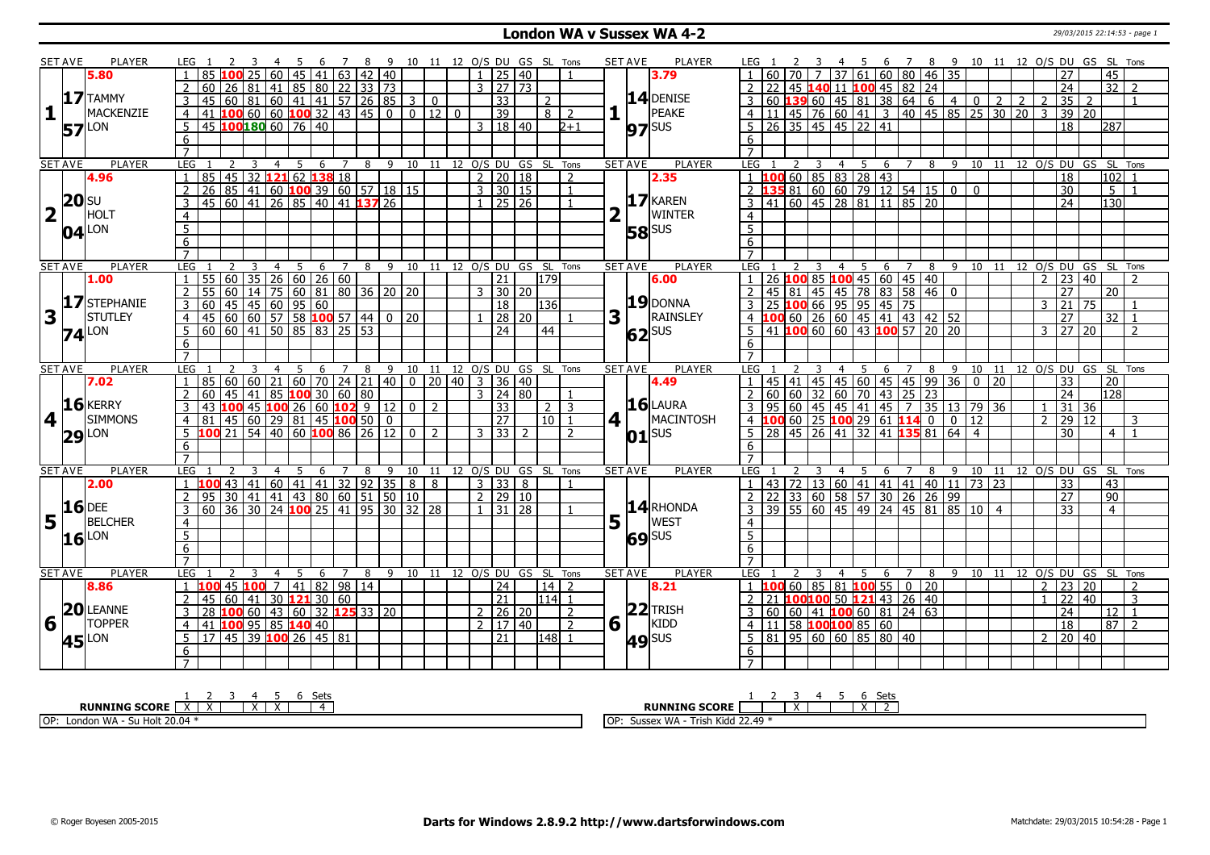### **London WA v Sussex WA 4-2** 29/03/2015 22:14:53 - page 1

|                         | <b>SET AVE</b> | <b>PLAYER</b>       | LEG 1                            |                                                                                    |                                           |                                   |   |                        |                | 6 7 8 9 10 11 12 O/S DU GS SL Tons |               |                              |                 |                |                  |                |     | <b>SET AVE</b> | <b>PLAYER</b>       | LEG 1            |                |                         |                | - 5              |                                                     |                                                                                                                           |   |             |                                                                                                                                                                   |                 |                |                   | 6 7 8 9 10 11 12 O/S DU GS SL Tons     |                 |                |
|-------------------------|----------------|---------------------|----------------------------------|------------------------------------------------------------------------------------|-------------------------------------------|-----------------------------------|---|------------------------|----------------|------------------------------------|---------------|------------------------------|-----------------|----------------|------------------|----------------|-----|----------------|---------------------|------------------|----------------|-------------------------|----------------|------------------|-----------------------------------------------------|---------------------------------------------------------------------------------------------------------------------------|---|-------------|-------------------------------------------------------------------------------------------------------------------------------------------------------------------|-----------------|----------------|-------------------|----------------------------------------|-----------------|----------------|
|                         |                | 5.80                | 85                               |                                                                                    | $\overline{25}$                           | $\boxed{60}$ 45 41 63 42 40       |   |                        |                |                                    |               | $\overline{1}$               | 25 40           |                |                  | $\overline{1}$ |     |                | 3.79                |                  |                |                         |                |                  |                                                     | $1   60   70   7   37   61   60   80   46   35$                                                                           |   |             |                                                                                                                                                                   |                 |                | 27                |                                        | $\overline{45}$ |                |
|                         |                |                     | $\overline{2}$<br>60             | 26   81   41   85   80   22   33   73                                              |                                           |                                   |   |                        |                |                                    |               | $3 \mid 27 \mid 73$          |                 |                |                  |                |     |                |                     |                  |                |                         |                |                  |                                                     |                                                                                                                           |   |             |                                                                                                                                                                   |                 |                | 24                |                                        | $\overline{32}$ | $\sqrt{2}$     |
|                         |                | 17 TAMMY            |                                  |                                                                                    |                                           |                                   |   |                        |                |                                    |               |                              | 33              |                | 2                |                |     |                | $14$ DENISE         |                  |                |                         |                |                  |                                                     |                                                                                                                           |   |             | 2 22 45 <b>140</b> 11 <b>100</b> 45 82 24<br>3 60 <b>139</b> 60 45 81 38 64 6 4 0 2 2 2                                                                           |                 |                | 35                | $\overline{2}$                         |                 |                |
| $\mathbf{1}$            |                | MACKENZIE           | $\overline{3}$                   | 45 60 81 60 41 41 57 26 85 3 0<br>41 <b>100</b> 60 60 <b>100</b> 32 43 45 0 0 12 0 |                                           |                                   |   |                        |                |                                    |               |                              |                 |                |                  |                |     |                | PEAKE               |                  |                |                         |                |                  |                                                     |                                                                                                                           |   |             | $4 \mid 11 \mid 45 \mid 76 \mid 60 \mid 41 \mid 3 \mid 40 \mid 45 \mid 85 \mid 25 \mid 30 \mid 20 \mid 3$                                                         |                 |                |                   |                                        |                 |                |
|                         |                |                     | $\overline{4}$                   |                                                                                    |                                           |                                   |   |                        |                |                                    |               |                              | $\overline{39}$ |                | $8 \mid 2$       |                |     |                |                     |                  |                |                         |                |                  |                                                     |                                                                                                                           |   |             |                                                                                                                                                                   |                 |                | 39 20             |                                        |                 |                |
|                         | 57             | <b>LON</b>          | 5                                | 45 100 180 60 76 40                                                                |                                           |                                   |   |                        |                |                                    |               | 3   18   40                  |                 |                |                  | $2 + 1$        |     |                | $97$ <sup>sus</sup> |                  |                |                         |                |                  | $5 \mid 26 \mid 35 \mid 45 \mid 45 \mid 22 \mid 41$ |                                                                                                                           |   |             |                                                                                                                                                                   |                 |                | 18                |                                        | 287             |                |
|                         |                |                     | 6                                |                                                                                    |                                           |                                   |   |                        |                |                                    |               |                              |                 |                |                  |                |     |                |                     | 6                |                |                         |                |                  |                                                     |                                                                                                                           |   |             |                                                                                                                                                                   |                 |                |                   |                                        |                 |                |
|                         |                |                     | $\overline{7}$                   |                                                                                    |                                           |                                   |   |                        |                |                                    |               |                              |                 |                |                  |                |     |                |                     |                  |                |                         |                |                  |                                                     |                                                                                                                           |   |             |                                                                                                                                                                   |                 |                |                   |                                        |                 |                |
|                         | <b>SET AVE</b> | <b>PLAYER</b>       | LEG                              | 2                                                                                  | $\overline{3}$<br>$\overline{4}$          | 5                                 |   | 6 <sub>7</sub>         |                | 8 9 10 11 12 O/S DU GS SL Tons     |               |                              |                 |                |                  |                |     | <b>SET AVE</b> | <b>PLAYER</b>       | LEG              | $\overline{2}$ | $\overline{\mathbf{3}}$ |                | $4 \overline{5}$ |                                                     |                                                                                                                           |   |             |                                                                                                                                                                   |                 |                |                   | 6 7 8 9 10 11 12 0/S DU GS SL Tons     |                 |                |
|                         |                | 4.96                | 85                               | 45 32 121 62 138 18                                                                |                                           |                                   |   |                        |                |                                    |               | 2                            | 20 18           |                |                  | 2              |     |                | 2.35                |                  |                |                         |                |                  | 1 100 60 85 83 28 43                                |                                                                                                                           |   |             |                                                                                                                                                                   |                 |                | 18                |                                        | 102             |                |
|                         |                |                     | $\overline{2}$                   |                                                                                    |                                           |                                   |   |                        |                |                                    |               | $3 \ 30 \ 15$                |                 |                |                  | $\mathbf{1}$   |     |                |                     |                  |                |                         |                |                  |                                                     | 2 135 81 60 60 79 12 54 15 0 0                                                                                            |   |             |                                                                                                                                                                   |                 |                | 30                |                                        | $\overline{5}$  |                |
|                         | 20             | lsu                 | $\overline{3}$                   | 26 85 41 60 100 39 60 57 18 15<br>45 60 41 26 85 40 41 137 26                      |                                           |                                   |   |                        |                |                                    |               | $1$ 25 26                    |                 |                |                  |                |     |                | $17$ <b>KAREN</b>   |                  |                |                         |                |                  |                                                     | $3   41   60   45   28   81   11   85   20$                                                                               |   |             |                                                                                                                                                                   |                 |                | $\overline{24}$   |                                        | 130             |                |
| $\overline{\mathbf{2}}$ |                | <b>HOLT</b>         | 4                                |                                                                                    |                                           |                                   |   |                        |                |                                    |               |                              |                 |                |                  |                |     |                | <b>WINTER</b>       | $\overline{4}$   |                |                         |                |                  |                                                     |                                                                                                                           |   |             |                                                                                                                                                                   |                 |                |                   |                                        |                 |                |
|                         |                | $04$ <sup>LON</sup> | $\overline{5}$                   |                                                                                    |                                           |                                   |   |                        |                |                                    |               |                              |                 |                |                  |                |     |                | <b>58</b> SUS       | $\overline{5}$   |                |                         |                |                  |                                                     |                                                                                                                           |   |             |                                                                                                                                                                   |                 |                |                   |                                        |                 |                |
|                         |                |                     | 6                                |                                                                                    |                                           |                                   |   |                        |                |                                    |               |                              |                 |                |                  |                |     |                |                     | 6                |                |                         |                |                  |                                                     |                                                                                                                           |   |             |                                                                                                                                                                   |                 |                |                   |                                        |                 |                |
|                         |                |                     | $\overline{7}$                   |                                                                                    |                                           |                                   |   |                        |                |                                    |               |                              |                 |                |                  |                |     |                |                     | $\overline{7}$   |                |                         |                |                  |                                                     |                                                                                                                           |   |             |                                                                                                                                                                   |                 |                |                   |                                        |                 |                |
|                         | <b>SET AVE</b> | <b>PLAYER</b>       | LEG                              |                                                                                    | 3<br>$\overline{4}$                       | $\overline{5}$                    | 6 | $7\overline{ }$        | $\overline{8}$ |                                    |               | 9 10 11 12 0/S DU GS SL Tons |                 |                |                  |                |     | <b>SET AVE</b> | <b>PLAYER</b>       | LEG              |                |                         |                |                  |                                                     |                                                                                                                           |   |             |                                                                                                                                                                   |                 |                |                   | 4 5 6 7 8 9 10 11 12 O/S DU GS SL Tons |                 |                |
|                         |                | 1.00                | 55<br>-1                         | $60$ 35 26 60 26 60                                                                |                                           |                                   |   |                        |                |                                    |               |                              | 21              |                | 179              |                |     |                | 6.00                |                  |                |                         |                |                  |                                                     | $1 \mid 26$ <b>100</b> 85 <b>100</b> 45 60 45 40                                                                          |   |             |                                                                                                                                                                   |                 | $\mathcal{P}$  | $23 \mid 40$      |                                        |                 | $\overline{2}$ |
|                         |                |                     | $\overline{2}$                   |                                                                                    |                                           |                                   |   |                        |                |                                    |               | $3 \mid 30 \mid 20$          |                 |                |                  |                |     |                |                     |                  |                |                         |                |                  |                                                     | 2 45 81 45 45 78 83 58 46 0<br>3 25 100 66 95 95 45 75<br>4 100 60 26 60 45 41 43 42 52<br>5 41 100 60 60 43 100 57 20 20 |   |             |                                                                                                                                                                   |                 |                | $\overline{27}$   |                                        | 20              |                |
|                         |                | <b>17</b> STEPHANIE | 3                                |                                                                                    |                                           |                                   |   |                        |                |                                    |               |                              | $\overline{18}$ |                | $\overline{136}$ |                |     |                | 19 DONNA            |                  |                |                         |                |                  |                                                     |                                                                                                                           |   |             |                                                                                                                                                                   |                 | $\mathcal{E}$  | $\overline{21}$   | $\overline{75}$                        |                 |                |
| $\overline{\mathbf{3}}$ |                | <b>STUTLEY</b>      | $\overline{4}$                   |                                                                                    |                                           |                                   |   |                        |                |                                    |               |                              | 28 20           |                |                  |                | 3   |                | RAINSLEY            |                  |                |                         |                |                  |                                                     |                                                                                                                           |   |             |                                                                                                                                                                   |                 |                | $\overline{27}$   |                                        | 32              |                |
|                         |                |                     | 5                                |                                                                                    |                                           |                                   |   |                        |                |                                    |               |                              | $\overline{24}$ |                | 44               |                |     |                |                     |                  |                |                         |                |                  |                                                     |                                                                                                                           |   |             |                                                                                                                                                                   |                 | $\mathcal{E}$  | $\sqrt{27}$ 20    |                                        |                 | $\overline{2}$ |
|                         |                | $74$ <sup>LON</sup> |                                  |                                                                                    |                                           |                                   |   |                        |                |                                    |               |                              |                 |                |                  |                |     |                | $62$ <sup>SUS</sup> | 6                |                |                         |                |                  |                                                     |                                                                                                                           |   |             |                                                                                                                                                                   |                 |                |                   |                                        |                 |                |
|                         |                |                     | 6<br>$\overline{7}$              |                                                                                    |                                           |                                   |   |                        |                |                                    |               |                              |                 |                |                  |                |     |                |                     |                  |                |                         |                |                  |                                                     |                                                                                                                           |   |             |                                                                                                                                                                   |                 |                |                   |                                        |                 |                |
|                         | <b>SET AVE</b> | <b>PLAYER</b>       | <b>LEG</b>                       |                                                                                    | $\overline{4}$                            | 5                                 | 6 | $\overline{7}$         |                | 8 9 10 11 12 O/S DU GS SL Tons     |               |                              |                 |                |                  |                |     | <b>SET AVE</b> | <b>PLAYER</b>       | LEG              |                |                         | $\overline{4}$ | 5                |                                                     | $\begin{array}{ccccccccc}\n6 & 7 & 8 & 9\n\end{array}$                                                                    |   |             | 10 11                                                                                                                                                             |                 |                |                   | 12 O/S DU GS SL Tons                   |                 |                |
|                         |                | 7.02                | 85                               | 60<br>60                                                                           | $\begin{array}{c} \boxed{21} \end{array}$ |                                   |   | 60   70   24   21   40 |                |                                    | $0$   20   40 | 3 <sup>1</sup>               | 36 40           |                |                  |                |     |                | 4.49                |                  |                |                         |                |                  |                                                     | 45 41 45 45 60 45 45 99 36                                                                                                |   |             | $\overline{0}$                                                                                                                                                    | $\overline{20}$ |                | 33                |                                        | 20              |                |
|                         |                |                     | 60                               | 45 41 85 100 30 60 80                                                              |                                           |                                   |   |                        |                |                                    |               | $3 \mid 24 \mid 80$          |                 |                |                  |                |     |                |                     |                  |                |                         |                |                  |                                                     |                                                                                                                           |   |             |                                                                                                                                                                   |                 |                | $\overline{24}$   |                                        | 128             |                |
|                         |                |                     |                                  |                                                                                    |                                           |                                   |   |                        |                |                                    |               |                              |                 |                |                  |                |     |                |                     |                  |                |                         |                |                  |                                                     |                                                                                                                           |   |             |                                                                                                                                                                   |                 |                |                   |                                        |                 |                |
|                         |                |                     |                                  |                                                                                    |                                           |                                   |   |                        |                |                                    |               |                              |                 |                |                  |                |     |                |                     |                  |                |                         |                |                  |                                                     |                                                                                                                           |   |             |                                                                                                                                                                   |                 |                |                   | $31 \overline{)36}$                    |                 |                |
| 4                       |                | 16 KERRY            | 3<br>43                          |                                                                                    |                                           |                                   |   |                        |                |                                    |               |                              | 33              |                | $2 \mid 3$       |                |     |                | $16$ LAURA          |                  |                |                         |                |                  |                                                     |                                                                                                                           |   |             |                                                                                                                                                                   |                 | $\mathbf{1}$   |                   |                                        |                 |                |
|                         |                | <b>SIMMONS</b>      | $\overline{4}$<br>81             |                                                                                    |                                           |                                   |   |                        |                |                                    |               |                              | 27              |                | 10 <sub>1</sub>  |                | $4$ |                | MACINTOSH           |                  |                |                         |                |                  |                                                     |                                                                                                                           |   |             |                                                                                                                                                                   |                 | $\overline{2}$ | $\frac{1}{29}$ 12 |                                        |                 | 3              |
|                         |                |                     | $100\ 21$<br>5                   |                                                                                    |                                           |                                   |   |                        |                |                                    |               | $3 \mid 33 \mid$             |                 | $\overline{z}$ |                  | $\overline{z}$ |     |                |                     |                  |                |                         |                |                  |                                                     |                                                                                                                           |   |             | 2 60 60 32 60 70 43 25 23<br>3 95 60 45 45 41 45 7 35 13 79 36<br>4 <b>100</b> 60 25 <b>100</b> 29 61 <b>114</b> 0 0 12<br>5 28 45 26 41 32 41 <b>135</b> 81 64 4 |                 |                | $\overline{30}$   |                                        | $\overline{4}$  | $\overline{1}$ |
|                         |                | $29$ $\text{LON}$   | 6                                |                                                                                    |                                           |                                   |   |                        |                |                                    |               |                              |                 |                |                  |                |     |                | $ 01 $ sus          | 6                |                |                         |                |                  |                                                     |                                                                                                                           |   |             |                                                                                                                                                                   |                 |                |                   |                                        |                 |                |
|                         |                |                     | $\overline{7}$                   |                                                                                    |                                           |                                   |   |                        |                |                                    |               |                              |                 |                |                  |                |     |                |                     | $\overline{7}$   |                |                         |                |                  |                                                     |                                                                                                                           |   |             |                                                                                                                                                                   |                 |                |                   |                                        |                 |                |
|                         | <b>SET AVE</b> | PLAYER              | <b>LEG</b>                       |                                                                                    | 3<br>$\overline{4}$                       | 5                                 | 6 |                        |                |                                    |               | 10 11 12 O/S DU GS SL Tons   |                 |                |                  |                |     | <b>SET AVE</b> | <b>PLAYER</b>       | <b>LEG</b>       |                |                         | $\overline{4}$ | 5                | 6                                                   | $\overline{7}$                                                                                                            |   | $8 \quad 9$ |                                                                                                                                                                   |                 |                |                   | 10 11 12 0/S DU GS SL Tons             |                 |                |
|                         |                | 2.00                | $\mathbf{1}$                     | 43                                                                                 | 41                                        | 60 41 41                          |   |                        |                |                                    | $\infty$      | $3 \mid 33 \mid$             |                 | 8              |                  | $\overline{1}$ |     |                |                     |                  |                |                         |                |                  |                                                     |                                                                                                                           |   |             | 1   43   72   13   60   41   41   41   40   11   73   23                                                                                                          |                 |                | $\overline{33}$   |                                        | 43              |                |
|                         |                |                     | 2<br>95                          | 30   41   41   43   80   60   51   50   10                                         |                                           |                                   |   |                        |                |                                    |               | 2   29   10                  |                 |                |                  |                |     |                |                     |                  |                |                         |                |                  |                                                     | 2 2 33 60 58 57 30 26 26 99                                                                                               |   |             |                                                                                                                                                                   |                 |                | 27                |                                        | 90              |                |
|                         |                | $16$ DEE            | 60<br>3                          | 36 30                                                                              |                                           | $\sqrt{24}$ 100 25 41 95 30 32 28 |   |                        |                |                                    |               | $1 \overline{31}$ 28         |                 |                |                  |                |     |                | $14$ RHONDA         |                  |                |                         |                |                  |                                                     |                                                                                                                           |   |             | 3 39 55 60 45 49 24 45 81 85 10 4                                                                                                                                 |                 |                | $\overline{33}$   |                                        | $\overline{4}$  |                |
|                         |                | <b>BELCHER</b>      | $\overline{4}$                   |                                                                                    |                                           |                                   |   |                        |                |                                    |               |                              |                 |                |                  |                |     |                | <b>WEST</b>         | $\overline{4}$   |                |                         |                |                  |                                                     |                                                                                                                           |   |             |                                                                                                                                                                   |                 |                |                   |                                        |                 |                |
|                         | $5\vert$       |                     |                                  |                                                                                    |                                           |                                   |   |                        |                |                                    |               |                              |                 |                |                  |                | 5   |                |                     | $\overline{5}$   |                |                         |                |                  |                                                     |                                                                                                                           |   |             |                                                                                                                                                                   |                 |                |                   |                                        |                 |                |
|                         |                | $16$ LON            | $\overline{5}$                   |                                                                                    |                                           |                                   |   |                        |                |                                    |               |                              |                 |                |                  |                |     |                | $69$ <sup>SUS</sup> | 6                |                |                         |                |                  |                                                     |                                                                                                                           |   |             |                                                                                                                                                                   |                 |                |                   |                                        |                 |                |
|                         |                |                     | $6\overline{}$<br>$\overline{7}$ |                                                                                    |                                           |                                   |   |                        |                |                                    |               |                              |                 |                |                  |                |     |                |                     |                  |                |                         |                |                  |                                                     |                                                                                                                           |   |             |                                                                                                                                                                   |                 |                |                   |                                        |                 |                |
|                         | <b>SET AVE</b> | <b>PLAYER</b>       | LEG                              |                                                                                    | 3<br>$\overline{4}$                       | 5                                 | 6 | $\overline{7}$         | 8              |                                    |               | 9 10 11 12 O/S DU GS SL Tons |                 |                |                  |                |     | <b>SET AVE</b> | <b>PLAYER</b>       | LEG              |                |                         | $\overline{4}$ | -5               | 6                                                   | $\overline{7}$                                                                                                            | 8 | 9           | 10 11                                                                                                                                                             |                 |                |                   | 12 O/S DU GS SL Tons                   |                 |                |
|                         |                | 8.86                | $\mathbf{1}$<br>LO0              | 45                                                                                 |                                           | $100$ 7 41 82 98 14               |   |                        |                |                                    |               |                              | $\overline{24}$ |                | $14$   2         |                |     |                | 8.21                |                  |                |                         |                |                  |                                                     | $1 \overline{100}$ 60 85 81 <b>100</b> 55 0 20                                                                            |   |             |                                                                                                                                                                   |                 | $\overline{2}$ | 23 20             |                                        |                 |                |
|                         |                |                     |                                  |                                                                                    |                                           |                                   |   |                        |                |                                    |               |                              |                 |                | 114 1            |                |     |                |                     |                  |                |                         |                |                  |                                                     |                                                                                                                           |   |             |                                                                                                                                                                   |                 |                |                   |                                        |                 | 3              |
|                         | 20             | <b>LEANNE</b>       | 45<br>$\overline{2}$<br>28       | 60 41 30 121 30 60                                                                 |                                           |                                   |   |                        |                |                                    |               |                              | $\overline{21}$ |                |                  |                |     |                |                     |                  |                |                         |                |                  |                                                     | 2 21 100100 50 121 43 26 40                                                                                               |   |             |                                                                                                                                                                   |                 |                |                   | 22   40                                |                 | $\overline{1}$ |
|                         |                | <b>TOPPER</b>       | 3                                | 100 60 43 60 32 125 33 20                                                          |                                           |                                   |   |                        |                |                                    |               | $2 \mid 26 \mid 20$          |                 |                |                  | 2              |     |                | $22$ TRISH          |                  |                |                         |                |                  |                                                     | 3 60 60 41 <b>100</b> 60 81 24 63                                                                                         |   |             |                                                                                                                                                                   |                 |                | 24                |                                        | 12              |                |
| 6                       |                |                     | $\overline{4}$<br>41             | 100 95 85 140 40                                                                   |                                           |                                   |   |                        |                |                                    |               | 2   17   40                  |                 |                |                  | 2              |     | $6\sqrt{1}$    | KIDD                |                  |                |                         |                |                  | 4 11 58 100100 85 60                                |                                                                                                                           |   |             |                                                                                                                                                                   |                 |                | 18                |                                        | $87$ 2          |                |
|                         | 45             | LON                 | 5                                | $17$ 45 39 100 26 45 81                                                            |                                           |                                   |   |                        |                |                                    |               |                              | 21              |                | 148 1            |                |     |                | $49$ sus            |                  |                |                         |                |                  |                                                     | $5 \ 81 \ 95 \ 60 \ 60 \ 85 \ 80 \ 40$                                                                                    |   |             |                                                                                                                                                                   |                 | $\overline{2}$ | 20 40             |                                        |                 |                |
|                         |                |                     | 6<br>$\overline{7}$              |                                                                                    |                                           |                                   |   |                        |                |                                    |               |                              |                 |                |                  |                |     |                |                     | 6<br>$7^{\circ}$ |                |                         |                |                  |                                                     |                                                                                                                           |   |             |                                                                                                                                                                   |                 |                |                   |                                        |                 |                |

| - Sets                                                                   | Sets                                                                                                  |
|--------------------------------------------------------------------------|-------------------------------------------------------------------------------------------------------|
| <b>RUNNING</b><br><b>SCORE</b><br>$\ddot{\phantom{1}}$                   | <b>RUNNING SCORE</b><br>$\cdot$                                                                       |
| ים ה<br>$.$ $M/A$<br>⊢H∩'<br>London<br>5U.<br><b>VVH</b><br>. ווטונ בטוט | $ -$<br>.10 <sup>o</sup><br>l OP<br><b>1818</b><br>.<br>SUSSE.<br><b>VVA</b><br>$\cdots$<br><u>__</u> |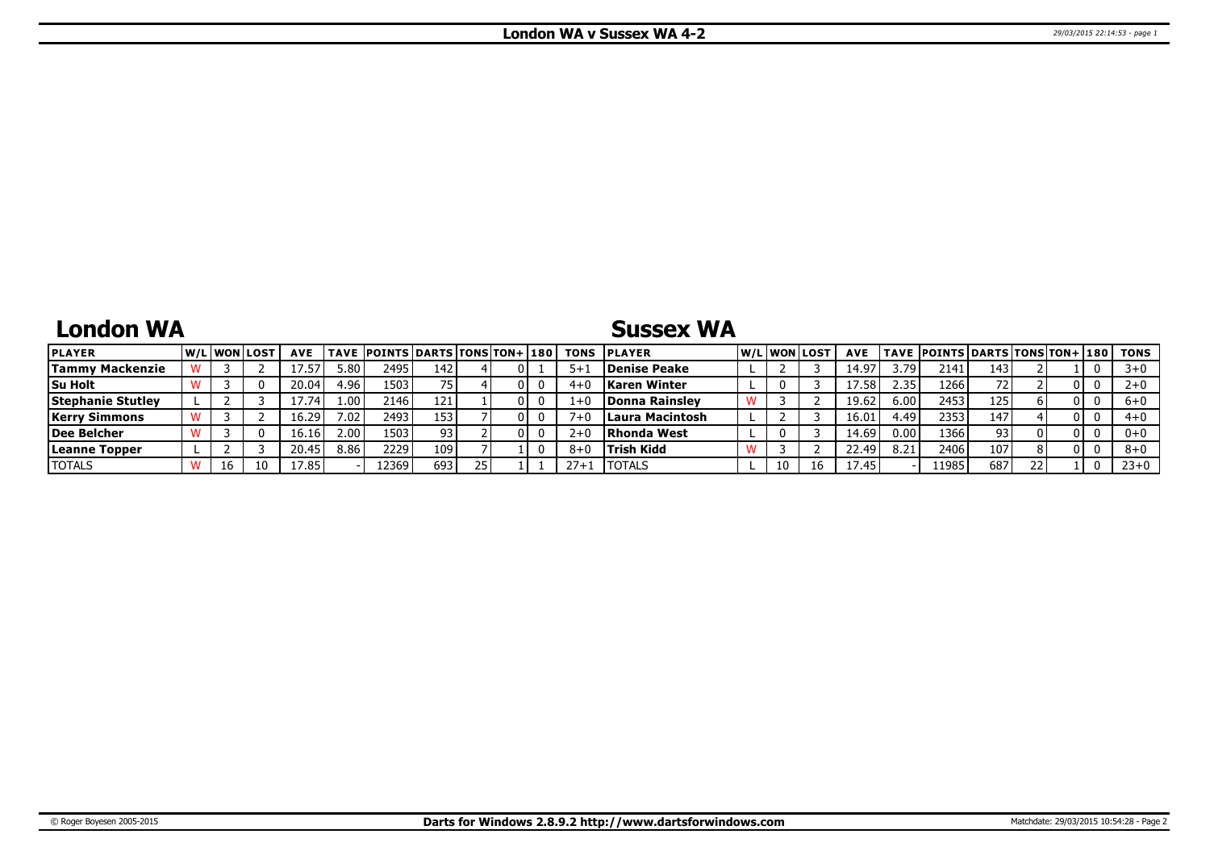## **London WA**

## **Sussex WA**

| <b>PLAYER</b>            | W/Liwonilost |    | <b>AVE</b> |                   | TAVE  POINTS   DARTS   TONS   TON+   180 |     |    | <b>TONS</b> | <b>IPLAYER</b>        |    | W/Liwonilost | <b>AVE</b> |      | <b>TAVE POINTS DARTS TONS TON+ 180</b> |     |    |  | TONS    |
|--------------------------|--------------|----|------------|-------------------|------------------------------------------|-----|----|-------------|-----------------------|----|--------------|------------|------|----------------------------------------|-----|----|--|---------|
| <b>Tammy Mackenzie</b>   |              |    |            | 5.80 <sub>1</sub> | 2495                                     | 142 | 01 | 5+          | <b>Denise Peake</b>   |    |              | 14.91      | .79  | 2141                                   | 143 |    |  | $3 + 0$ |
| Su Holt                  |              |    | 20.04      | 4.96              | 1503                                     |     |    |             | <b>Karen Winter</b>   |    |              |            | 2.35 | 1266                                   |     |    |  | $2+0$   |
| <b>Stephanie Stutley</b> |              |    | 1/0.74     | 1.00              | 2146                                     | 121 |    | 1+          | <b>Donna Rainslev</b> |    |              | 19.62      | 6.00 | 2453                                   | 125 |    |  | $6+0$   |
| <b>Kerry Simmons</b>     |              |    | 16.29      | 7.02.             | 2493                                     | 153 |    |             | Laura Macintosh       |    |              | 16.0       | 1.49 | 2353                                   | 147 |    |  | $4+0$   |
| Dee Belcher              |              |    | 16.16      | 2.00 <sup>1</sup> | 1503                                     | 93  |    | z+          | Rhonda West           |    |              | 14.69      | 0.00 | 1366                                   | 93  |    |  | $0+0$   |
| Leanne Topper            |              |    |            | 8.86              | 22291                                    | 109 |    |             | <b>Trish Kidd</b>     |    |              | 22.49      | 8.21 | 2406                                   | 107 |    |  | $8+0$   |
| <b>TOTALS</b>            | 16           | 10 | 17.85      |                   | 2369                                     | 693 |    | $27 + 1$    | ITOTALS               | 10 |              | 1/0.45     |      | 11985                                  | 687 | 22 |  | $23+0$  |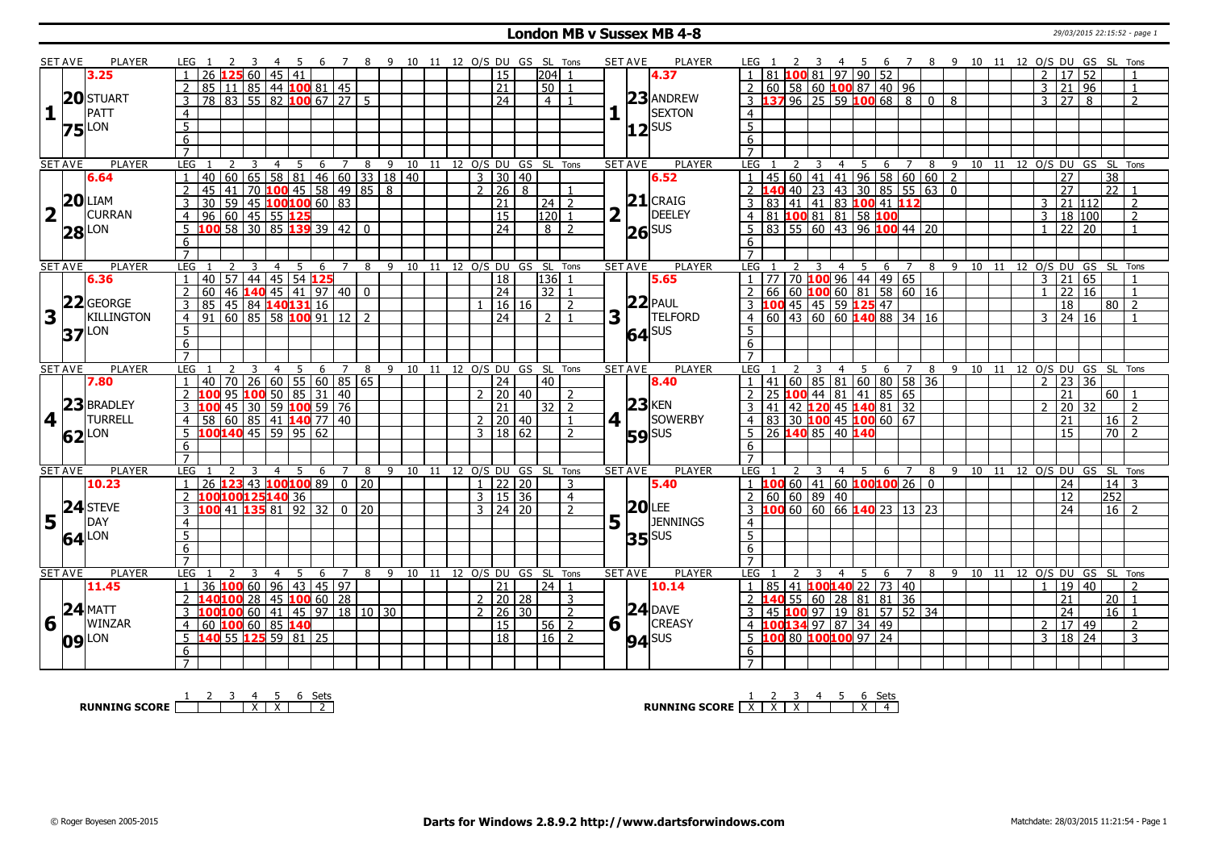#### **London MB v Sussex MB 4-8** 29/03/2015 22:15:52 - page 1

|                         | <b>SET AVE</b> | <b>PLAYER</b>       | LEG 1                         |                                                                                                                                                                                                                                                                                                |                                                              | - 4            | - 5            | - 6                                   | $\overline{7}$   | - 8                     | 9 10 11 12 O/S DU GS SL Tons |  |  |                     |                         |                |   | <b>SET AVE</b><br>PLAYER                  | LEG 1                                                                 |                         |                |                |     |                |    |      |  |                |                     |     | 4 5 6 7 8 9 10 11 12 O/S DU GS SL Tons |
|-------------------------|----------------|---------------------|-------------------------------|------------------------------------------------------------------------------------------------------------------------------------------------------------------------------------------------------------------------------------------------------------------------------------------------|--------------------------------------------------------------|----------------|----------------|---------------------------------------|------------------|-------------------------|------------------------------|--|--|---------------------|-------------------------|----------------|---|-------------------------------------------|-----------------------------------------------------------------------|-------------------------|----------------|----------------|-----|----------------|----|------|--|----------------|---------------------|-----|----------------------------------------|
|                         |                | 3.25                |                               | 26 $12560145141$                                                                                                                                                                                                                                                                               |                                                              |                |                |                                       |                  |                         |                              |  |  | 15                  | l204l                   |                |   | 4.37                                      | 81   100   81   97   90   52                                          |                         |                |                |     |                |    |      |  |                | 2   17   52         |     |                                        |
|                         |                |                     |                               | 85 l                                                                                                                                                                                                                                                                                           | $11 \,   \, 85 \,   \, 44 \,   \, 100 \,   \, 81 \,   \, 45$ |                |                |                                       |                  |                         |                              |  |  | 21                  | 50                      |                |   |                                           | 2 60 58 60 100 87 40 96                                               |                         |                |                |     |                |    |      |  | $\overline{3}$ | 21 96               |     | $\overline{1}$                         |
|                         |                | 20 STUART           |                               | $78$ 83 55 82 100 67 27 5                                                                                                                                                                                                                                                                      |                                                              |                |                |                                       |                  |                         |                              |  |  | $\overline{24}$     | $\overline{4}$          |                |   | $23$ ANDREW                               | $3$ <b>137</b> 96 25 59 <b>100</b> 68 8 0 8                           |                         |                |                |     |                |    |      |  | $\mathcal{E}$  | $\overline{27}$     | l 8 | $\overline{2}$                         |
| 1                       |                | PATT                | $\overline{4}$                |                                                                                                                                                                                                                                                                                                |                                                              |                |                |                                       |                  |                         |                              |  |  |                     |                         |                |   | <b>SEXTON</b>                             | $\overline{4}$                                                        |                         |                |                |     |                |    |      |  |                |                     |     |                                        |
|                         |                |                     | $\overline{5}$                |                                                                                                                                                                                                                                                                                                |                                                              |                |                |                                       |                  |                         |                              |  |  |                     |                         |                |   |                                           | $\overline{5}$                                                        |                         |                |                |     |                |    |      |  |                |                     |     |                                        |
|                         |                | <b>75</b> LON       | 6                             |                                                                                                                                                                                                                                                                                                |                                                              |                |                |                                       |                  |                         |                              |  |  |                     |                         |                |   | $ 12 $ SUS                                | 6                                                                     |                         |                |                |     |                |    |      |  |                |                     |     |                                        |
|                         |                |                     | $\overline{7}$                |                                                                                                                                                                                                                                                                                                |                                                              |                |                |                                       |                  |                         |                              |  |  |                     |                         |                |   |                                           | $\overline{7}$                                                        |                         |                |                |     |                |    |      |  |                |                     |     |                                        |
|                         | <b>SET AVE</b> | <b>PLAYER</b>       | <b>LEG</b>                    | 2                                                                                                                                                                                                                                                                                              | 3                                                            | $\overline{4}$ | 5 <sup>5</sup> |                                       | $6 \overline{7}$ | $\overline{\mathbf{8}}$ | 9 10 11 12 0/S DU GS SL Tons |  |  |                     |                         |                |   | <b>PLAYER</b><br><b>SET AVE</b>           | <b>LEG</b><br>2                                                       | 3                       | $\overline{4}$ |                |     |                |    |      |  |                |                     |     | 5 6 7 8 9 10 11 12 O/S DU GS SL Tons   |
|                         |                | 6.64                | $\mathbf{1}$                  | 40                                                                                                                                                                                                                                                                                             |                                                              |                |                |                                       |                  |                         | $60$ 65 58 81 46 60 33 18 40 |  |  | $3 \mid 30 \mid 40$ |                         |                |   | 6.52                                      | $1   45   60   41   41   96   58   60   60   2$                       |                         |                |                |     |                |    |      |  |                | 27                  |     | $\overline{38}$                        |
|                         |                |                     | $\overline{2}$                | 45<br>41                                                                                                                                                                                                                                                                                       |                                                              |                |                |                                       |                  | 70 100 45 58 49 85 8    |                              |  |  | $2 \mid 26 \mid 8$  |                         |                |   |                                           | 2 <b>140</b> 40 23 43 30 85 55 63 0                                   |                         |                |                |     |                |    |      |  |                | $\overline{27}$     |     | $\overline{22}$ 1                      |
|                         |                | $20$ LIAM           |                               |                                                                                                                                                                                                                                                                                                | $59$ 45 100 100 60 83                                        |                |                |                                       |                  |                         |                              |  |  |                     |                         |                |   | $21$ CRAIG                                | 83 41 41 83 100 41 112                                                |                         |                |                |     |                |    |      |  | $\mathcal{E}$  |                     |     | $\overline{z}$                         |
|                         |                | <b>CURRAN</b>       | $\overline{3}$                | 30                                                                                                                                                                                                                                                                                             |                                                              |                |                |                                       |                  |                         |                              |  |  | 21                  | $24$   2                |                |   | <b>DEELEY</b>                             | 3                                                                     |                         |                |                |     |                |    |      |  |                | 21 112              |     |                                        |
| $\overline{\mathbf{2}}$ |                |                     |                               | 96                                                                                                                                                                                                                                                                                             | 60 45 55 125                                                 |                |                |                                       |                  |                         |                              |  |  | $\overline{15}$     | 120                     |                |   |                                           | 4 81 100 81 81 58 100                                                 |                         |                |                |     |                |    |      |  | $\overline{3}$ | 18 100              |     | 2                                      |
|                         |                | $28$ LON            | 5                             | 100 58 30 85 139 39 42 0                                                                                                                                                                                                                                                                       |                                                              |                |                |                                       |                  |                         |                              |  |  | $\overline{24}$     | 8                       | $\overline{z}$ |   | $26$ <sup>SUS</sup>                       | $5$ 83 55 60 43 96 100 44 20                                          |                         |                |                |     |                |    |      |  |                | 22 20               |     |                                        |
|                         |                |                     | 6                             |                                                                                                                                                                                                                                                                                                |                                                              |                |                |                                       |                  |                         |                              |  |  |                     |                         |                |   |                                           | 6                                                                     |                         |                |                |     |                |    |      |  |                |                     |     |                                        |
|                         |                |                     | $\overline{7}$                |                                                                                                                                                                                                                                                                                                |                                                              |                |                |                                       |                  |                         |                              |  |  |                     |                         |                |   |                                           | $\overline{7}$                                                        |                         |                |                |     |                |    |      |  |                |                     |     |                                        |
|                         | <b>SET AVE</b> | <b>PLAYER</b>       | LEG                           |                                                                                                                                                                                                                                                                                                | 3                                                            |                | 5              | 6                                     | $7^{\circ}$      | 8                       | $9 \t10$                     |  |  |                     | 11 12 O/S DU GS SL Tons |                |   | <b>SET AVE</b><br><b>PLAYER</b>           | <b>LEG</b>                                                            |                         | $\overline{4}$ | 5              | 6   | $\overline{7}$ |    |      |  |                |                     |     | 8 9 10 11 12 0/S DU GS SL Tons         |
|                         |                | 6.36                |                               | 57<br>40                                                                                                                                                                                                                                                                                       |                                                              |                |                | 44 45 54 125                          |                  |                         |                              |  |  | <sup>18</sup>       | 136                     |                |   | 5.65                                      | $\frac{1}{1}$ 77 70 <b>100</b> 96 44 49 65                            |                         |                |                |     |                |    |      |  | $\overline{3}$ | $\overline{21}$     | 165 |                                        |
|                         |                |                     | 2                             | 60                                                                                                                                                                                                                                                                                             | $146$ 140 45 41 97 40 0                                      |                |                |                                       |                  |                         |                              |  |  | $\sqrt{24}$         | 32 1                    |                |   |                                           | $2   66   60   100   60   81   58   60   16$                          |                         |                |                |     |                |    |      |  | $\mathbf{1}$   | 22 16               |     | $\overline{1}$                         |
|                         |                | 22 GEORGE           | 3                             | 85 l                                                                                                                                                                                                                                                                                           | 45 84 140131 16                                              |                |                |                                       |                  |                         |                              |  |  | 16 16               |                         | $\overline{2}$ |   | $22$ PAUL                                 | 3 100 45 45 59 125 47                                                 |                         |                |                |     |                |    |      |  |                | 18                  |     | 80 2                                   |
| 3                       |                | <b>KILLINGTON</b>   | $\overline{4}$                | 91                                                                                                                                                                                                                                                                                             | $60$ 85 58 100 91 12 2                                       |                |                |                                       |                  |                         |                              |  |  | $\overline{24}$     | 2 <sup>1</sup>          | $\overline{1}$ | 3 | <b>TELFORD</b>                            | $4   60   43   60   60   140   88   34   16$                          |                         |                |                |     |                |    |      |  | $\mathcal{E}$  | 24 16               |     | $\overline{1}$                         |
|                         |                | <b>37</b> LON       | $\overline{5}$                |                                                                                                                                                                                                                                                                                                |                                                              |                |                |                                       |                  |                         |                              |  |  |                     |                         |                |   | 64 SUS                                    | $5^{\circ}$                                                           |                         |                |                |     |                |    |      |  |                |                     |     |                                        |
|                         |                |                     | 6                             |                                                                                                                                                                                                                                                                                                |                                                              |                |                |                                       |                  |                         |                              |  |  |                     |                         |                |   |                                           | 6                                                                     |                         |                |                |     |                |    |      |  |                |                     |     |                                        |
|                         |                |                     | $\overline{7}$                |                                                                                                                                                                                                                                                                                                |                                                              |                |                |                                       |                  |                         |                              |  |  |                     |                         |                |   |                                           |                                                                       |                         |                |                |     |                |    |      |  |                |                     |     |                                        |
|                         | <b>SET AVE</b> | PLAYER              | LEG                           |                                                                                                                                                                                                                                                                                                |                                                              |                | -5             | 6                                     | 7                | 8                       | 9 10 11 12 O/S DU GS SL Tons |  |  |                     |                         |                |   | <b>SET AVE</b><br><b>PLAYER</b>           | LEG                                                                   |                         |                | 4 <sub>5</sub> | 6 7 |                |    |      |  |                |                     |     | 8 9 10 11 12 0/S DU GS SL Tons         |
|                         |                | 7.80                |                               | 70 <sup>1</sup><br>40                                                                                                                                                                                                                                                                          |                                                              |                |                | 26   60   55   60   85   65           |                  |                         |                              |  |  | 24                  | 40                      |                |   | 8.40                                      | 41 60 85 81 60 80 58 36                                               |                         |                |                |     |                |    |      |  | $\mathcal{L}$  | 23 36               |     |                                        |
|                         |                |                     | $\overline{2}$                |                                                                                                                                                                                                                                                                                                |                                                              |                |                | 95 <mark>100</mark> 50   85   31   40 |                  |                         |                              |  |  | 2 20 40             |                         | $\mathcal{P}$  |   |                                           | 2 25 100 44 81 41 85 65                                               |                         |                |                |     |                |    |      |  |                | 21                  |     | 60   1                                 |
|                         |                |                     |                               |                                                                                                                                                                                                                                                                                                |                                                              |                |                |                                       |                  |                         |                              |  |  |                     |                         |                |   |                                           |                                                                       |                         |                |                |     |                |    |      |  |                |                     |     |                                        |
| 4                       |                | 23 BRADLEY          | $\mathcal{L}$                 |                                                                                                                                                                                                                                                                                                |                                                              |                |                |                                       |                  |                         |                              |  |  | 21                  |                         |                |   |                                           |                                                                       |                         |                |                |     |                |    |      |  | $\mathcal{D}$  |                     |     | $\overline{2}$                         |
|                         |                |                     |                               |                                                                                                                                                                                                                                                                                                | $145$ 30 59 100 59 76                                        |                |                |                                       |                  |                         |                              |  |  |                     | $32$   2                | $\overline{1}$ |   | $23$ KEN                                  | 3 41 42 120 45 140 81 32                                              |                         |                |                |     |                |    |      |  |                | $20 \overline{)32}$ |     |                                        |
|                         |                | <b>TURRELL</b>      | $\overline{4}$<br>$5^{\circ}$ |                                                                                                                                                                                                                                                                                                |                                                              |                |                |                                       |                  |                         |                              |  |  | $2 \mid 20 \mid 40$ |                         | $\overline{2}$ |   | SOWERBY<br>$4$                            |                                                                       |                         |                |                |     |                |    |      |  |                | 21                  |     | $16 \mid 2$                            |
|                         |                | $62$ <sup>LON</sup> |                               | $\frac{100}{100}$ $\frac{100}{100}$ $\frac{100}{100}$ $\frac{100}{100}$ $\frac{100}{100}$ $\frac{100}{100}$ $\frac{100}{100}$ $\frac{100}{100}$ $\frac{100}{100}$ $\frac{100}{100}$ $\frac{100}{100}$ $\frac{100}{100}$ $\frac{100}{100}$ $\frac{100}{100}$ $\frac{100}{100}$ $\frac{100}{100$ |                                                              |                |                |                                       |                  |                         |                              |  |  | 3   18   62         |                         |                |   | <b>59</b> SUS                             | 4 83 30 100 45 100 60 67<br>5 26 140 85 40 140                        |                         |                |                |     |                |    |      |  |                | 15                  |     | $\boxed{70}$ 2                         |
|                         |                |                     | 6<br>$\overline{7}$           |                                                                                                                                                                                                                                                                                                |                                                              |                |                |                                       |                  |                         |                              |  |  |                     |                         |                |   |                                           | 6<br>$\overline{7}$                                                   |                         |                |                |     |                |    |      |  |                |                     |     |                                        |
|                         |                | <b>PLAYER</b>       | LEG                           |                                                                                                                                                                                                                                                                                                | 3                                                            | $\overline{4}$ |                |                                       |                  |                         |                              |  |  |                     |                         |                |   | PLAYER<br><b>SET AVE</b>                  | LEG                                                                   | $\overline{\mathbf{3}}$ |                |                |     |                |    |      |  |                |                     |     |                                        |
|                         | <b>SET AVE</b> | 10.23               | $\overline{1}$                |                                                                                                                                                                                                                                                                                                |                                                              |                | 5              | 6                                     | $7\overline{ }$  | 8                       | 9 10 11 12 O/S DU GS SL Tons |  |  |                     |                         |                |   |                                           |                                                                       |                         |                | 4 <sub>5</sub> | 6 7 |                | 89 |      |  |                |                     |     | 10 11 12 O/S DU GS SL Tons             |
|                         |                |                     |                               | 26 123 43 100 100 89 0 20                                                                                                                                                                                                                                                                      |                                                              |                |                |                                       |                  |                         |                              |  |  | $1$   22   20       |                         | 3              |   | 5.40                                      | $1 \t10066014160100100260$                                            |                         |                |                |     |                |    |      |  |                | $\overline{24}$     |     | $\overline{14}$ 3                      |
|                         |                |                     | 2                             | 100100125140 36                                                                                                                                                                                                                                                                                |                                                              |                |                |                                       |                  |                         |                              |  |  | $3 \mid 15 \mid 36$ |                         | $\overline{4}$ |   |                                           | 2   60   60   89   40                                                 |                         |                |                |     |                |    |      |  |                | $\overline{12}$     |     | 252                                    |
|                         |                | 24 STEVE            |                               |                                                                                                                                                                                                                                                                                                | 13588192320220                                               |                |                |                                       |                  |                         |                              |  |  | $3 \mid 24 \mid 20$ |                         |                |   | 20 <br>LEE                                | $3 \mid 100 \mid 60 \mid 60 \mid 66 \mid 140 \mid 23 \mid 13 \mid 23$ |                         |                |                |     |                |    |      |  |                | $\overline{24}$     |     | $16 \mid 2$                            |
| 5                       |                | DAY                 | 4                             |                                                                                                                                                                                                                                                                                                |                                                              |                |                |                                       |                  |                         |                              |  |  |                     |                         |                |   | $5\vert \bar{1} \vert$<br><b>JENNINGS</b> | $\overline{4}$                                                        |                         |                |                |     |                |    |      |  |                |                     |     |                                        |
|                         |                | $64$ <sup>LON</sup> | $\overline{5}$                |                                                                                                                                                                                                                                                                                                |                                                              |                |                |                                       |                  |                         |                              |  |  |                     |                         |                |   | $35$ <sup>SUS</sup>                       | $\overline{5}$                                                        |                         |                |                |     |                |    |      |  |                |                     |     |                                        |
|                         |                |                     | 6                             |                                                                                                                                                                                                                                                                                                |                                                              |                |                |                                       |                  |                         |                              |  |  |                     |                         |                |   |                                           | 6                                                                     |                         |                |                |     |                |    |      |  |                |                     |     |                                        |
|                         |                |                     | $\overline{7}$                |                                                                                                                                                                                                                                                                                                |                                                              |                |                |                                       |                  |                         |                              |  |  |                     |                         |                |   |                                           | $\overline{7}$                                                        |                         |                |                |     |                |    |      |  |                |                     |     |                                        |
|                         | <b>SET AVE</b> | <b>PLAYER</b>       | LEG                           |                                                                                                                                                                                                                                                                                                |                                                              | $\overline{4}$ | 5              | 6                                     | 7                | 8                       | 9 10 11                      |  |  |                     | 12 O/S DU GS SL Tons    |                |   | <b>PLAYER</b><br><b>SET AVE</b>           | LEG                                                                   |                         | 4              | -5             | 6   | $\overline{7}$ | 8  | 9 10 |  |                |                     |     | 11 12 O/S DU GS SL Tons                |
|                         |                | 11.45               | $\overline{1}$                | 36 100 60 96 43 45 97                                                                                                                                                                                                                                                                          |                                                              |                |                |                                       |                  |                         |                              |  |  | 21                  | $\vert 24 \vert 1$      |                |   | 10.14                                     | $1   85   41   100   140   22   73   40$                              |                         |                |                |     |                |    |      |  |                | 1   19   40         |     | $\mathcal{P}$                          |
|                         |                |                     | 2                             | 140100 28 45 100 60 28                                                                                                                                                                                                                                                                         |                                                              |                |                |                                       |                  |                         |                              |  |  | 2   20   28         |                         | 3              |   |                                           | 2 140 55 60 28 81 81 36                                               |                         |                |                |     |                |    |      |  |                | $\overline{21}$     |     | $\overline{20}$ 1                      |
|                         |                | $24$ MATT           | $\overline{3}$                | <mark>100</mark> 100 60   41   45   97   18   10   30                                                                                                                                                                                                                                          |                                                              |                |                |                                       |                  |                         |                              |  |  | $2 \mid 26 \mid 30$ |                         | $\overline{2}$ |   | $24$ DAVE                                 | 3 45 100 97 19 81 57 52 34                                            |                         |                |                |     |                |    |      |  |                | $\overline{24}$     |     | $16$ 1                                 |
| 6                       |                | WINZAR              | $\overline{4}$                | 60 100 60 85 140                                                                                                                                                                                                                                                                               |                                                              |                |                |                                       |                  |                         |                              |  |  | 15                  | $56$   2                |                |   | $6\sqrt{ }$<br><b>CREASY</b>              | 4 100134 97 87 34 49                                                  |                         |                |                |     |                |    |      |  |                | $2 \mid 17 \mid 49$ |     | $\overline{2}$                         |
|                         |                |                     | 5                             | 140 55 125 59 81 25                                                                                                                                                                                                                                                                            |                                                              |                |                |                                       |                  |                         |                              |  |  | $\overline{18}$     | $16 \mid 2$             |                |   | $94$ <sup>SUS</sup>                       | 5 100 80 100100 97 24                                                 |                         |                |                |     |                |    |      |  |                | 3   18   24         |     | $\overline{3}$                         |
|                         |                | $09$ <sup>LON</sup> | 6                             |                                                                                                                                                                                                                                                                                                |                                                              |                |                |                                       |                  |                         |                              |  |  |                     |                         |                |   |                                           | 6<br>$\overline{7}$                                                   |                         |                |                |     |                |    |      |  |                |                     |     |                                        |

**RUNNING SCORE** 1 2 3 4 X 5 X 6 Sets 2

**RUNNING SCORE**  $\begin{array}{|c|c|c|c|c|}\n\hline\n & 2 & 3 & 4 & 5 & 6 & \text{Sets} \\
\hline\n\end{array}$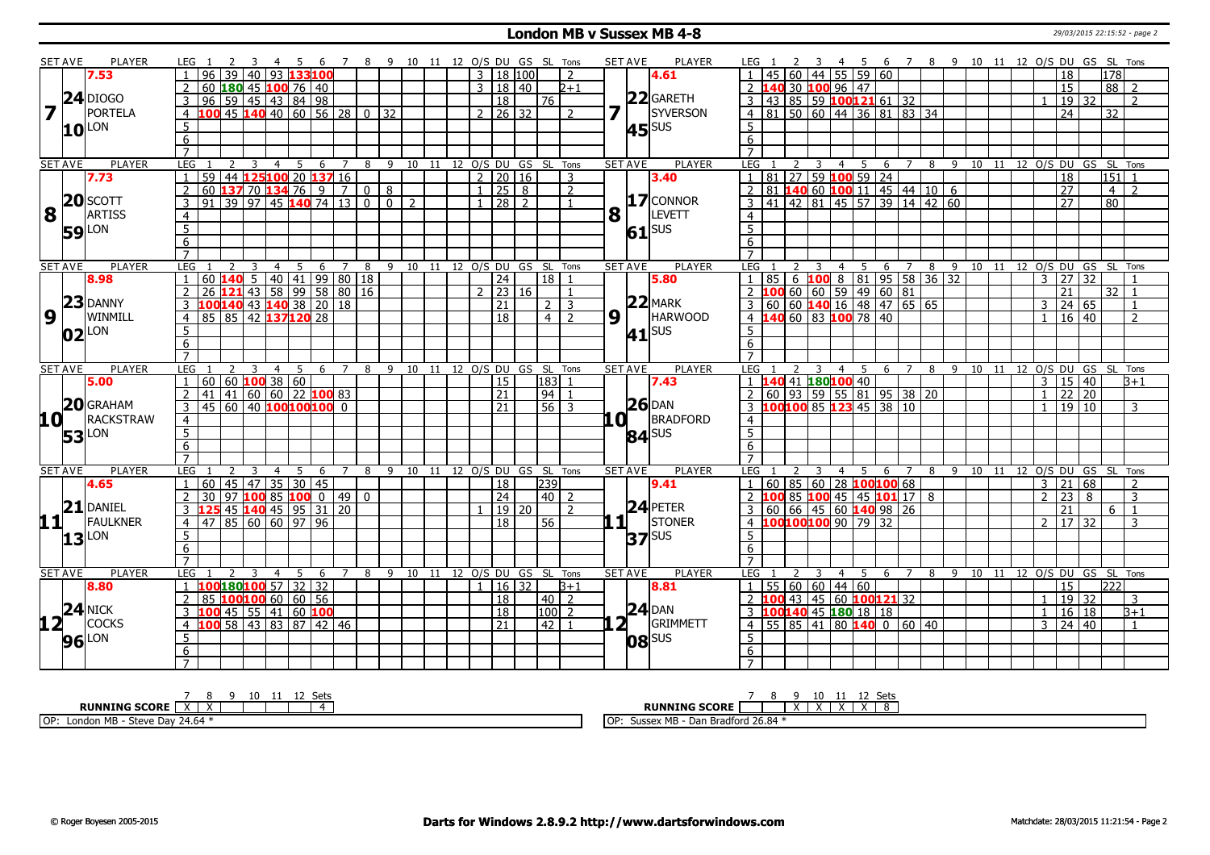#### **London MB v Sussex MB 4-8** 29/03/2015 22:15:52 - page 2

|                     | SET AVE        | <b>PLAYER</b>       | LEG 1                                             | 45<br>- 6                             | 7 8 9 10 11 12 O/S DU GS SL Tons |                            |                |                              |              |                      |         |               |                         |                | <b>SET AVE</b><br><b>PLAYER</b> | LEG                                                                   |                                      | - 45 | 6 7 8 9 10 11 12 O/S DU GS SL Tons     |   |              |    |       |                |                                    |                    |                          |
|---------------------|----------------|---------------------|---------------------------------------------------|---------------------------------------|----------------------------------|----------------------------|----------------|------------------------------|--------------|----------------------|---------|---------------|-------------------------|----------------|---------------------------------|-----------------------------------------------------------------------|--------------------------------------|------|----------------------------------------|---|--------------|----|-------|----------------|------------------------------------|--------------------|--------------------------|
|                     |                | 7.53                | 40<br>39<br>96                                    | 93 133 100                            |                                  |                            |                |                              |              | $3 \mid 18 \mid 100$ |         |               | 2                       |                | 4.61                            |                                                                       | $60 \mid 44 \mid 55 \mid 59 \mid 60$ |      |                                        |   |              |    |       |                | 18                                 | 178                |                          |
|                     |                |                     | 60                                                | $180$ 45 $100$ 76 $140$               |                                  |                            |                |                              | $\mathbf{3}$ |                      | 18   40 |               | $2 + 1$                 |                |                                 | 40 30 100 96 47                                                       |                                      |      |                                        |   |              |    |       |                | 15                                 | 88                 | 2                        |
|                     |                | $24$ DIOGO          | $96$ 59 45 43 84 98                               |                                       |                                  |                            |                |                              |              | 18                   |         | 76            |                         |                | $22$ GARETH                     | $3   43   85   59   100   121   61   32$                              |                                      |      |                                        |   |              |    |       |                | 19 32                              |                    | $\overline{\phantom{a}}$ |
| 7                   |                | PORTELA             | $100$ 45 $140$ 40 60 56 28 0 32<br>$\overline{4}$ |                                       |                                  |                            |                |                              |              | $2$   26   32        |         |               | $\overline{2}$          |                | SYVERSON                        | 4 81 50 60 44 36 81 83 34                                             |                                      |      |                                        |   |              |    |       |                | $\overline{24}$                    | 32                 |                          |
|                     |                |                     | 5                                                 |                                       |                                  |                            |                |                              |              |                      |         |               |                         |                |                                 | 5 <sup>5</sup>                                                        |                                      |      |                                        |   |              |    |       |                |                                    |                    |                          |
|                     |                | $10^{\text{LON}}$   | 6                                                 |                                       |                                  |                            |                |                              |              |                      |         |               |                         |                | $45$ <sup>SUS</sup>             | 6                                                                     |                                      |      |                                        |   |              |    |       |                |                                    |                    |                          |
|                     |                |                     | $\overline{7}$                                    |                                       |                                  |                            |                |                              |              |                      |         |               |                         |                |                                 | $\overline{7}$                                                        |                                      |      |                                        |   |              |    |       |                |                                    |                    |                          |
|                     | <b>SET AVE</b> | <b>PLAYER</b>       | LEG<br>2<br>-3                                    | $\overline{4}$<br>-5<br>6             | $\overline{7}$                   | 8                          |                | 9 10 11 12 O/S DU GS SL Tons |              |                      |         |               |                         |                | <b>PLAYER</b><br><b>SET AVE</b> | <b>LEG</b><br>2                                                       | 3<br>$\overline{4}$                  | 5    | $\overline{7}$<br>-6                   |   |              |    |       |                | 8 9 10 11 12 0/S DU GS SL Tons     |                    |                          |
|                     |                | 7.73                | $\overline{59}$<br>$\mathbf{1}$                   | 44 125 100 20 137 16                  |                                  |                            |                |                              |              | 2   20   16          |         |               | 3                       |                | 3.40                            | 81   27   59 <mark>100</mark> 59   24<br>$\overline{1}$               |                                      |      |                                        |   |              |    |       |                | 18                                 | $\overline{151}$ 1 |                          |
|                     |                |                     | $137$ 70 134 76<br>$\overline{2}$<br>60           |                                       | $9 \mid 7$                       | 8<br>$\mathbf{0}$          |                |                              |              | $1$   25   8         |         |               | $\overline{z}$          |                |                                 | 81   <b>140</b> 60 <b>100</b> 11   45   44   10   6<br>$\overline{2}$ |                                      |      |                                        |   |              |    |       |                | $\overline{27}$                    | $\overline{4}$     | $\mathcal{L}$            |
|                     |                | $20$ SCOTT          | $\overline{3}$<br>91                              | 39 97 45 140 74 13                    |                                  | $\overline{0}$<br>$\Omega$ | $\overline{2}$ |                              |              | $\sqrt{28}$          |         |               |                         |                | $17$ CONNOR                     | 3 41 42 81 45 57 39 14 42 60                                          |                                      |      |                                        |   |              |    |       |                | $\overline{27}$                    | 80                 |                          |
| 8                   | $\mathbf{L}$   | <b>ARTISS</b>       | $\overline{4}$                                    |                                       |                                  |                            |                |                              |              |                      |         |               |                         | 8              | LEVETT                          | $\overline{4}$                                                        |                                      |      |                                        |   |              |    |       |                |                                    |                    |                          |
|                     |                |                     |                                                   |                                       |                                  |                            |                |                              |              |                      |         |               |                         |                |                                 | $\overline{5}$                                                        |                                      |      |                                        |   |              |    |       |                |                                    |                    |                          |
|                     |                | <b>59</b> LON       | $\frac{5}{6}$                                     |                                       |                                  |                            |                |                              |              |                      |         |               |                         |                | $61$ <sup>SUS</sup>             | 6                                                                     |                                      |      |                                        |   |              |    |       |                |                                    |                    |                          |
|                     |                |                     | $\overline{7}$                                    |                                       |                                  |                            |                |                              |              |                      |         |               |                         |                |                                 |                                                                       |                                      |      |                                        |   |              |    |       |                |                                    |                    |                          |
|                     | <b>SET AVE</b> | <b>PLAYER</b>       | LEG<br>3                                          | 5<br>6<br>4                           | $\overline{7}$<br>$\overline{8}$ |                            |                | 9 10 11 12 0/S DU GS SL Tons |              |                      |         |               |                         |                | <b>SET AVE</b><br><b>PLAYER</b> | LEG                                                                   | 3                                    |      | 4 5 6 7 8 9 10 11 12 O/S DU GS SL Tons |   |              |    |       |                |                                    |                    |                          |
|                     |                | 8.98                | 60<br>5 <sup>1</sup>                              | $40$ $ 41$ 99 80 18                   |                                  |                            |                |                              |              | $\overline{24}$      |         | 18            |                         |                | 5.80                            | 85<br>6                                                               | 100                                  |      | 8 81 95 58 36 32                       |   |              |    |       | $\overline{3}$ | $\overline{27}$<br>$\overline{32}$ |                    |                          |
|                     |                |                     | 26                                                | 121 43 58 99 58 80 16                 |                                  |                            |                |                              |              | $2 \mid 23 \mid 16$  |         |               |                         |                |                                 | $2$ <b>100</b> 60 60 59 49 60 81                                      |                                      |      |                                        |   |              |    |       |                | 21                                 | 32                 |                          |
|                     |                | 23 DANNY            | 100140 43 140 38 20 18<br>$\mathbf{3}$            |                                       |                                  |                            |                |                              |              | 21                   |         | $2 \mid 3$    |                         |                | $22$ MARK                       |                                                                       |                                      |      |                                        |   |              |    |       | $\overline{3}$ | 24 65                              |                    | $\mathbf{1}$             |
| $\overline{9}$      | l II           | WINMILL             | $\overline{4}$<br>85                              | 85 42 137 120 28                      |                                  |                            |                |                              |              | <sup>18</sup>        |         | 4 I           | $\overline{2}$          | $9\sqrt{1}$    | <b>HARWOOD</b>                  |                                                                       |                                      |      |                                        |   |              |    |       | $\overline{1}$ | $16 \mid 40$                       |                    | $\overline{\phantom{a}}$ |
|                     |                |                     | 5                                                 |                                       |                                  |                            |                |                              |              |                      |         |               |                         |                |                                 | $5^{\circ}$                                                           |                                      |      |                                        |   |              |    |       |                |                                    |                    |                          |
|                     |                | $02$ LON            | 6                                                 |                                       |                                  |                            |                |                              |              |                      |         |               |                         |                | $41$ SUS                        | 6                                                                     |                                      |      |                                        |   |              |    |       |                |                                    |                    |                          |
|                     |                |                     | $\overline{7}$                                    |                                       |                                  |                            |                |                              |              |                      |         |               |                         |                |                                 | $\overline{7}$                                                        |                                      |      |                                        |   |              |    |       |                |                                    |                    |                          |
|                     | <b>SET AVE</b> | <b>PLAYER</b>       | <b>LEG</b>                                        | 5<br>$\overline{4}$<br>6              | $\overline{7}$                   | 8                          |                | 9 10 11 12 O/S DU GS SL Tons |              |                      |         |               |                         |                | <b>SET AVE</b><br><b>PLAYER</b> | LEG                                                                   | 3<br>$\overline{4}$                  | 5    | 6<br>$\overline{7}$                    | 8 |              |    |       |                | 9 10 11 12 0/S DU GS SL Tons       |                    |                          |
|                     |                | 5.00                | 60<br>$\overline{1}$                              |                                       |                                  |                            |                |                              |              | <sup>15</sup>        |         | 183           | $\overline{\mathbf{1}}$ |                | 7.43                            | 1 140 41 180 100 40                                                   |                                      |      |                                        |   |              |    |       | $\overline{3}$ | 15   40                            |                    | $B+1$                    |
|                     |                |                     | $\overline{2}$<br>41                              | $\frac{1}{41}$ 60 60 22 <b>100</b> 83 |                                  |                            |                |                              |              | $\overline{21}$      |         | 94            |                         |                |                                 | 60 93 59 55 81 95 38 20<br>$\mathcal{L}$                              |                                      |      |                                        |   |              |    |       | $\overline{1}$ | $\overline{22}$<br>  20            |                    |                          |
|                     |                | 20 GRAHAM           | 45 60 40 <b>100 100 100</b> 0<br>$\overline{3}$   |                                       |                                  |                            |                |                              |              | 21                   |         | $\sqrt{56}$ 3 |                         |                | $26$ DAN                        | 3 100100 85 123 45 38 10                                              |                                      |      |                                        |   |              |    |       | $\overline{1}$ | 19 10                              |                    | 3                        |
| 10 L                |                | RACKSTRAW           |                                                   |                                       |                                  |                            |                |                              |              |                      |         |               |                         | LO '           | <b>BRADFORD</b>                 | $\overline{4}$                                                        |                                      |      |                                        |   |              |    |       |                |                                    |                    |                          |
|                     |                |                     | $\frac{4}{5}$                                     |                                       |                                  |                            |                |                              |              |                      |         |               |                         |                |                                 | $\overline{5}$                                                        |                                      |      |                                        |   |              |    |       |                |                                    |                    |                          |
|                     |                | <b>53</b> LON       | $6\overline{6}$                                   |                                       |                                  |                            |                |                              |              |                      |         |               |                         |                | $84$ <sup>SUS</sup>             | 6                                                                     |                                      |      |                                        |   |              |    |       |                |                                    |                    |                          |
|                     |                |                     | $\overline{7}$                                    |                                       |                                  |                            |                |                              |              |                      |         |               |                         |                |                                 | $\overline{7}$                                                        |                                      |      |                                        |   |              |    |       |                |                                    |                    |                          |
|                     | <b>SET AVE</b> | <b>PLAYER</b>       | LEG                                               |                                       |                                  | 8                          |                | 9 10 11 12 O/S DU GS SL Tons |              |                      |         |               |                         |                | <b>SET AVE</b><br><b>PLAYER</b> | LEG                                                                   | 4                                    |      | 6                                      | 8 | $\mathsf{q}$ | 10 | $-11$ |                | 12 O/S DU GS SL Tons               |                    |                          |
|                     |                | 4.65                |                                                   |                                       |                                  |                            |                |                              |              |                      |         |               |                         |                |                                 |                                                                       |                                      |      |                                        |   |              |    |       | 3              | 21<br>  68                         |                    | $\overline{2}$           |
|                     |                |                     |                                                   |                                       |                                  |                            |                |                              |              |                      |         |               |                         |                |                                 |                                                                       |                                      |      |                                        |   |              |    |       |                |                                    |                    | 3                        |
|                     |                |                     | 60 45 47                                          | $35 \mid 30 \mid 45$                  |                                  |                            |                |                              |              | 18                   |         | 239           |                         |                | 9.41                            | 60 85 60 28 100100 68                                                 |                                      |      |                                        |   |              |    |       |                |                                    |                    |                          |
|                     |                |                     | 30 97 100 85 100 0 49 0<br>$2^{\circ}$            |                                       |                                  |                            |                |                              |              | $\overline{24}$      |         | $40$   2      |                         |                |                                 | 2 100 85 100 45 45 101 17 8                                           |                                      |      |                                        |   |              |    |       | $\overline{2}$ | $ 23\rangle$<br>8                  |                    |                          |
|                     |                | $21$ DANIEL         | 3                                                 | 45 140 45 95 31 20                    |                                  |                            |                |                              |              | 19 20                |         |               | $\overline{z}$          |                | $24$ PETER                      | 3   60   66   45   60   140   98   26                                 |                                      |      |                                        |   |              |    |       |                | 21                                 | 6                  | $\mathbf{1}$             |
| 11                  |                | <b>FAULKNER</b>     | 47 85 60 60 97 96<br>$\overline{4}$               |                                       |                                  |                            |                |                              |              | 18                   |         | 56            |                         | 10             | <b>STONER</b>                   | 4 100100100 90 79 32                                                  |                                      |      |                                        |   |              |    |       | $\mathcal{P}$  | 17   32                            |                    | 3                        |
|                     |                | $13$ <sup>LON</sup> | 5                                                 |                                       |                                  |                            |                |                              |              |                      |         |               |                         |                | $37$ <sup>SUS</sup>             | 5 <sup>5</sup>                                                        |                                      |      |                                        |   |              |    |       |                |                                    |                    |                          |
|                     |                |                     | 6                                                 |                                       |                                  |                            |                |                              |              |                      |         |               |                         |                |                                 | 6                                                                     |                                      |      |                                        |   |              |    |       |                |                                    |                    |                          |
|                     |                |                     | $\overline{7}$                                    |                                       |                                  |                            |                |                              |              |                      |         |               |                         |                |                                 | $\overline{7}$                                                        |                                      |      |                                        |   |              |    |       |                |                                    |                    |                          |
|                     | <b>SET AVE</b> | PLAYER              | LEG                                               | -6                                    | $\overline{7}$                   | 8                          |                | 9 10 11 12 O/S DU GS SL Tons |              |                      |         |               |                         |                | PLAYER<br><b>SET AVE</b>        | <b>LEG</b>                                                            | 4                                    |      | - 6<br>$\overline{7}$                  |   | 89           |    |       |                | 10 11 12 O/S DU GS SL Tons         |                    |                          |
|                     |                | 8.80                | 1 100180100 57 32 32                              |                                       |                                  |                            |                |                              |              | $16$ 32              |         |               | $B+1$                   |                | 8.81                            | $1 \mid 55 \mid 60 \mid 60 \mid 44 \mid 60$                           |                                      |      |                                        |   |              |    |       |                | 15                                 | 12221              |                          |
|                     |                |                     | 85 100100 60 60 56<br>$2^{\circ}$                 |                                       |                                  |                            |                |                              |              | <sup>18</sup>        |         | $40 \mid 2$   |                         |                |                                 | 2 $100$ 43 45 60 100121 32                                            |                                      |      |                                        |   |              |    |       | $\overline{1}$ | 19 32                              |                    | 3                        |
|                     |                | $24$ NICK           | 3                                                 | $145\overline{55}$ 41 60 100          |                                  |                            |                |                              |              | 18                   |         | $ 100 $ 2     |                         |                | $24$ DAN                        | 3 100140 45 180 18 18                                                 |                                      |      |                                        |   |              |    |       | $\overline{1}$ | 16 18                              |                    | $B+1$                    |
| $12^{\overline{1}}$ |                | <b>COCKS</b>        | 100 58 43 83 87 42 46<br>$\overline{4}$           |                                       |                                  |                            |                |                              |              | $\overline{21}$      |         | $42$   1      |                         | 2 <sub>1</sub> | GRIMMETT                        | $4 \mid 55 \mid 85 \mid 41 \mid 80$ 140 0 60 40                       |                                      |      |                                        |   |              |    |       |                | $3 \mid 24 \mid 40$                |                    |                          |
|                     |                |                     | $\overline{5}$                                    |                                       |                                  |                            |                |                              |              |                      |         |               |                         |                |                                 | 5                                                                     |                                      |      |                                        |   |              |    |       |                |                                    |                    |                          |
|                     |                | <b>96</b> LON       | 6<br>$\overline{7}$                               |                                       |                                  |                            |                |                              |              |                      |         |               |                         |                | $ 08 $ SUS                      | $6\overline{6}$<br>$\overline{7}$                                     |                                      |      |                                        |   |              |    |       |                |                                    |                    |                          |

| ╰                                                                                                | <br>しししこ<br>∸<br>∸                                         |
|--------------------------------------------------------------------------------------------------|------------------------------------------------------------|
| <b>RUNNING SCORE</b><br>$\ddot{\phantom{1}}$<br>$\sqrt{ }$                                       | <b>RUNNING SCORE</b><br>. .<br>. .<br>$\ddot{\phantom{1}}$ |
| OP:<br>$24 \epsilon A$<br>ı MB<br>: Dav<br><b>CL.</b><br>Londor<br><u>ът с</u><br>-4.04<br>ັບເປນ | Bradford 26.84 $*$<br>، OP<br>$\cdots$<br>SUSSEX<br>יי     |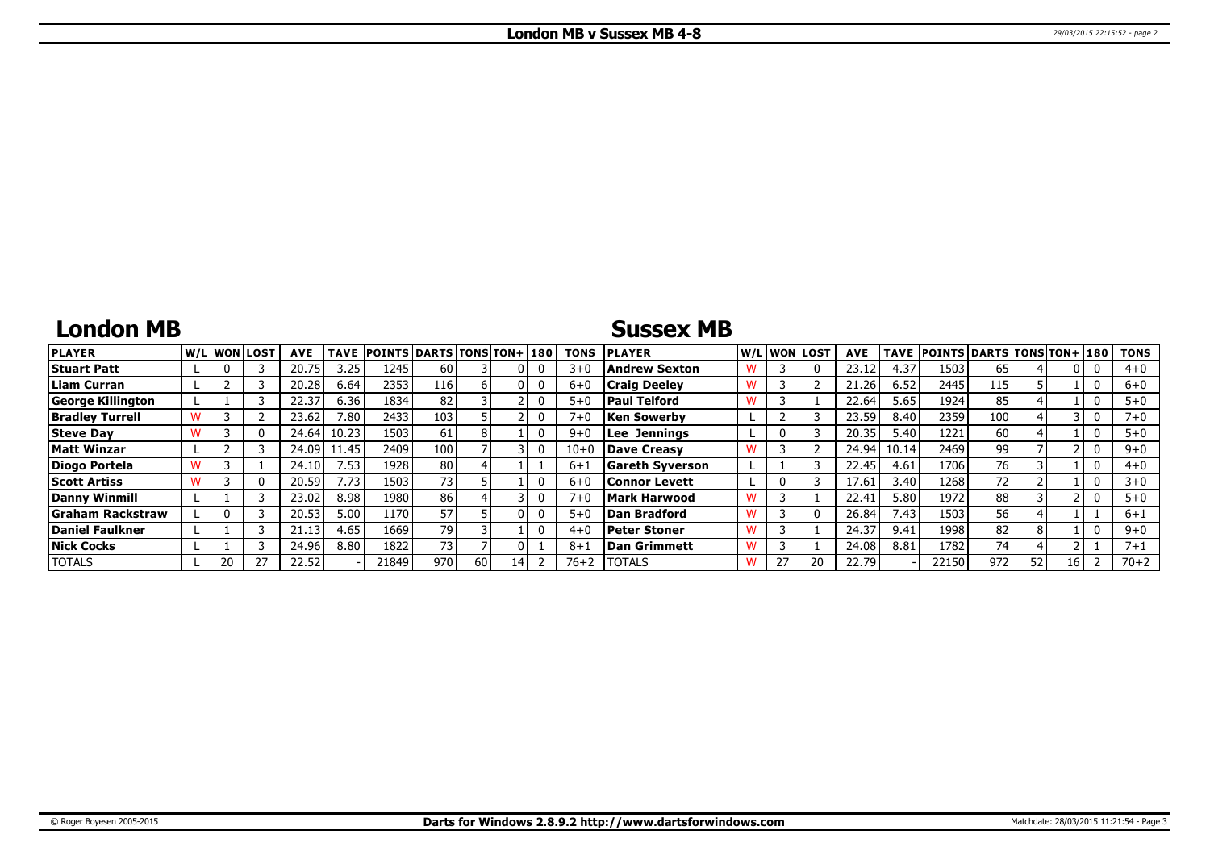# **London MB**

### **Sussex MB**

| <b>PLAYER</b>            |    | W/Liwonilost | <b>AVE</b> | <b>TAVE</b> | <b>POINTS DARTS TONS TON+180</b> |                 |                 |    | <b>TONS</b> | <b>PLAYER</b>          |    | W/L WON LOST | <b>AVE</b> |       | TAVE POINTS DARTS TONS TON+ 180 |     |    |    | <b>TONS</b> |
|--------------------------|----|--------------|------------|-------------|----------------------------------|-----------------|-----------------|----|-------------|------------------------|----|--------------|------------|-------|---------------------------------|-----|----|----|-------------|
| <b>Stuart Patt</b>       |    |              | 20.75      | 3.25        | 1245                             | 60              |                 |    | $3 + C$     | <b>Andrew Sexton</b>   |    |              |            | 4.37  | 1503                            | 65  |    |    | $4 + 0$     |
| <b>Liam Curran</b>       |    |              | 20.28      | 6.64        | 2353                             | 116             |                 |    | $6 + C$     | <b>Craig Deelev</b>    |    |              | 21.26      | 6.52  | 2445                            | 115 |    |    | $6 + 0$     |
| <b>George Killington</b> |    |              | 22.37      | 6.36        | 1834                             | 82              |                 |    | $5 + 0$     | <b>Paul Telford</b>    |    |              | 22.64      | 5.65  | 1924                            | 85  |    |    | $5 + 0$     |
| <b>Bradley Turrell</b>   |    |              | 23.62      | 7.80        | 2433                             | 103             |                 |    | $7 + 0$     | Ken Sowerbv            |    |              | 23.59      | 8.40  | 2359                            | 100 |    |    | $7 + 0$     |
| <b>Steve Day</b>         |    |              | 24.64      | 10.23       | 1503                             | 61              |                 |    | $9 + C$     | <b>Lee Jennings</b>    |    |              | 20.35      | 5.40  | 1221                            | 60  |    |    | $5+0$       |
| Matt Winzar              |    |              | 24.09      | 11.45       | 2409                             | 100             |                 |    | $10 + 0$    | Dave Creasy            |    |              | 24.94      | 10.14 | 2469                            | 99  |    |    | $9 + 0$     |
| Diogo Portela            |    |              | 24.10      | 7.53        | 1928                             | 80 <sub>1</sub> |                 |    | $6 + 1$     | <b>Gareth Syverson</b> |    |              | 22.45      | 4.61  | 1706                            | 761 |    |    | $4 + 0$     |
| <b>Scott Artiss</b>      |    |              | 20.59      | 7.73        | 1503                             | 73              |                 |    | $6 + C$     | Connor Levett          | 0  |              | 17.61      | 3.40  | 1268                            | 72  |    |    | $3+0$       |
| <b>Danny Winmill</b>     |    |              | 23.02      | 8.98        | 1980                             | 86              |                 |    | $7 + 0$     | Mark Harwood           |    |              | 22.41      | 5.80  | 1972                            | 88  |    |    | $5 + 0$     |
| Graham Rackstraw         |    |              | 20.53      | 5.00        | 1170                             | 57              |                 |    | $5 + 0$     | Dan Bradford           |    |              | 26.84      | 7.43  | 1503                            | 56  |    |    | $6 + 1$     |
| Daniel Faulkner          |    |              | 21.13      | 4.65        | 1669                             | 79              |                 |    | $4 + C$     | Peter Stoner           |    |              | 24.37      | 9.41  | 1998                            | 82  |    |    | $9 + 0$     |
| <b>Nick Cocks</b>        |    |              | 24.96      | 8.80        | 1822                             | 73              |                 |    | $8 + 1$     | Dan Grimmett           |    |              | 24.08      | 8.81  | 1782                            | 74  |    |    | $7 + 1$     |
| <b>TOTALS</b>            | 20 | 27           | 22.52      |             | 21849                            | 970             | 60 <sub>1</sub> | 14 | $76 + 2$    | <b>ITOTALS</b>         | 27 |              | 22.79      |       | 22150                           | 972 | 52 | 16 | $70 + 2$    |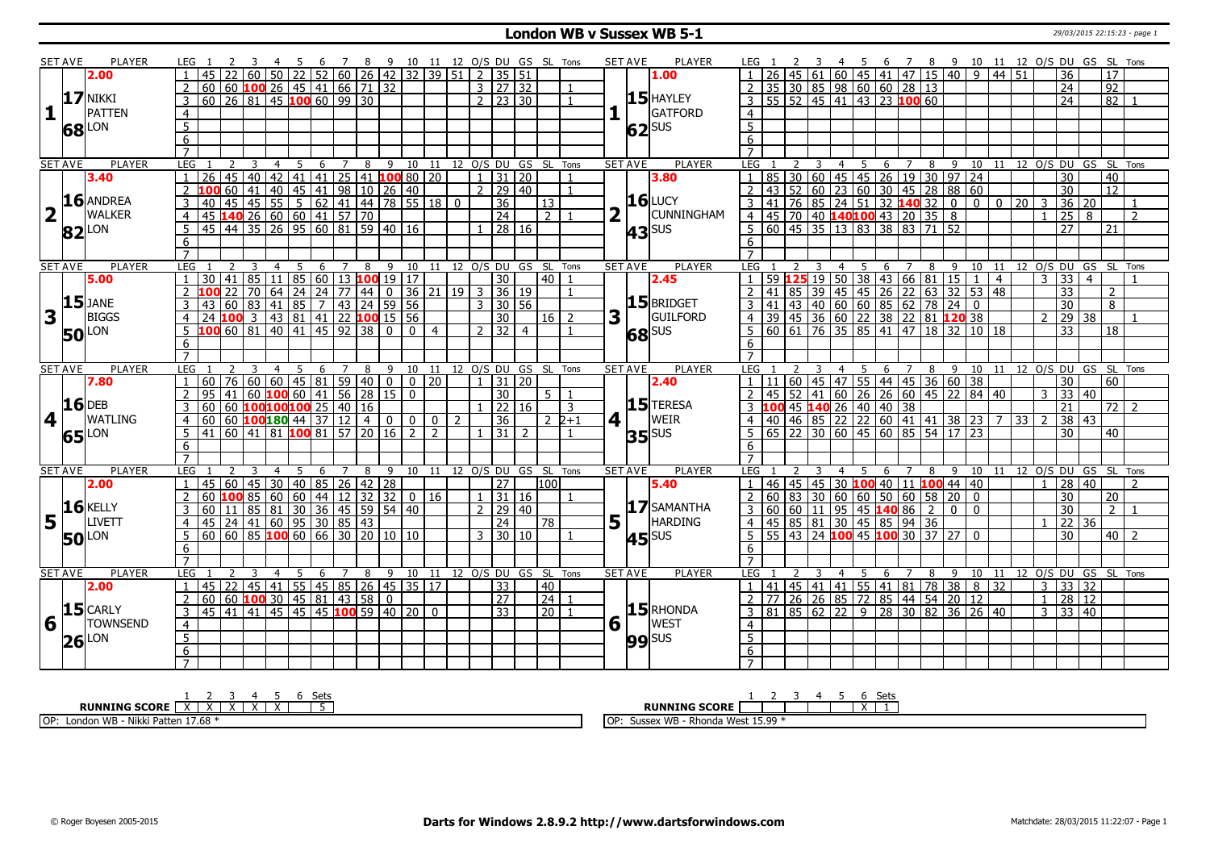### **London WB v Sussex WB 5-1** 29/03/2015 22:15:23 - page 1

|                         | <b>SET AVE</b> | <b>PLAYER</b>       | LEG 1               |                 |                                   |   |                |                 |     |                                                     |   |                                                                                                                                                                  |                |                         |                |                |                     |                       |                            |                |   | <b>SET AVE</b>                 | PLAYER              | LEG 1            |    |       |                                                                                                                                            |   |                          |                |                                                   |    |                |                            |                |                                  |                | 3 4 5 6 7 8 9 10 11 12 O/S DU GS SL Tons |                |
|-------------------------|----------------|---------------------|---------------------|-----------------|-----------------------------------|---|----------------|-----------------|-----|-----------------------------------------------------|---|------------------------------------------------------------------------------------------------------------------------------------------------------------------|----------------|-------------------------|----------------|----------------|---------------------|-----------------------|----------------------------|----------------|---|--------------------------------|---------------------|------------------|----|-------|--------------------------------------------------------------------------------------------------------------------------------------------|---|--------------------------|----------------|---------------------------------------------------|----|----------------|----------------------------|----------------|----------------------------------|----------------|------------------------------------------|----------------|
|                         |                | 2.00                |                     |                 |                                   |   |                |                 |     |                                                     |   | 3 4 5 6 7 8 9 10 11 12 O/S DU GS SL Tons<br> 60  50  22  52  60  26  42  32  39  51   2  35  51                                                                  |                |                         |                |                |                     |                       |                            |                |   |                                | 1.00                |                  |    |       | 61 60 45 41 47 15 40                                                                                                                       |   |                          |                | 9                                                 |    | $44 \mid 51$   |                            |                | 36                               |                | 17                                       |                |
|                         |                |                     |                     |                 |                                   |   |                |                 |     |                                                     |   | 60 60 <b>100</b> 26 45 41 66 71 32                                                                                                                               |                |                         |                |                | 3   27   32         |                       |                            |                |   |                                |                     |                  |    |       | $2   35   30   85   98   60   60   28   13$                                                                                                |   |                          |                |                                                   |    |                |                            |                | 24                               |                | $\overline{92}$                          |                |
|                         |                | <b>17 NIKKI</b>     |                     |                 |                                   |   |                |                 |     | $60$   26   81   45   100 60   99   30              |   |                                                                                                                                                                  |                |                         |                | $\overline{2}$ |                     | 23 30                 |                            |                |   |                                | $15$ HAYLEY         |                  |    |       | $\overline{3}$   55   52   45   41   43   23   100 60                                                                                      |   |                          |                |                                                   |    |                |                            |                | $\overline{24}$                  |                | $\overline{82}$                          |                |
| 1                       |                | <b>PATTEN</b>       | $\overline{4}$      |                 |                                   |   |                |                 |     |                                                     |   |                                                                                                                                                                  |                |                         |                |                |                     |                       |                            |                |   |                                | GATFORD             |                  |    |       |                                                                                                                                            |   |                          |                |                                                   |    |                |                            |                |                                  |                |                                          |                |
|                         |                |                     |                     |                 |                                   |   |                |                 |     |                                                     |   |                                                                                                                                                                  |                |                         |                |                |                     |                       |                            |                |   |                                |                     | $\overline{4}$   |    |       |                                                                                                                                            |   |                          |                |                                                   |    |                |                            |                |                                  |                |                                          |                |
|                         |                | <b>68</b> LON       | $\overline{5}$      |                 |                                   |   |                |                 |     |                                                     |   |                                                                                                                                                                  |                |                         |                |                |                     |                       |                            |                |   |                                | $62$ <sup>SUS</sup> | $\overline{5}$   |    |       |                                                                                                                                            |   |                          |                |                                                   |    |                |                            |                |                                  |                |                                          |                |
|                         |                |                     | $\overline{6}$      |                 |                                   |   |                |                 |     |                                                     |   |                                                                                                                                                                  |                |                         |                |                |                     |                       |                            |                |   |                                |                     | $\overline{6}$   |    |       |                                                                                                                                            |   |                          |                |                                                   |    |                |                            |                |                                  |                |                                          |                |
|                         |                |                     | $\overline{7}$      |                 |                                   |   |                |                 |     |                                                     |   |                                                                                                                                                                  |                |                         |                |                |                     |                       |                            |                |   |                                |                     | $\overline{7}$   |    |       |                                                                                                                                            |   |                          |                |                                                   |    |                |                            |                |                                  |                |                                          |                |
|                         | <b>SET AVE</b> | <b>PLAYER</b>       | <b>LEG</b>          |                 | $\overline{2}$                    | 3 | $\overline{4}$ | $5\overline{)}$ |     | $6 \overline{7}$                                    |   | 8 9 10 11 12 0/S DU GS SL Tons                                                                                                                                   |                |                         |                |                |                     |                       |                            |                |   | <b>SET AVE</b>                 | PLAYER              |                  |    |       | 1 85 30 60 45 45 6 7 8 9 10<br>1 85 30 60 45 45 26 19 30 97 24<br>2 43 52 60 23 60 30 45 28 88 60<br>3 41 76 85 24 51 32 <b>140</b> 32 0 0 |   |                          |                |                                                   |    |                | 10 11 12 0/S DU GS SL Tons |                |                                  |                |                                          |                |
|                         |                | 3.40                |                     |                 |                                   |   |                |                 |     |                                                     |   | 26 45 40 42 41 41 25 41 100 80 20                                                                                                                                |                |                         |                |                |                     | $1 \vert 31 \vert 20$ |                            | $\mathbf{1}$   |   |                                | 3.80                |                  |    |       |                                                                                                                                            |   |                          |                |                                                   |    |                |                            |                | 30                               |                | 40                                       |                |
|                         |                |                     |                     |                 |                                   |   |                |                 |     |                                                     |   | 2 100 60 41 40 45 41 98 10 26 40                                                                                                                                 |                |                         |                |                |                     | $2 \mid 29 \mid 40$   |                            | $\mathbf{1}$   |   |                                |                     |                  |    |       |                                                                                                                                            |   |                          |                |                                                   |    |                |                            |                | $\overline{30}$                  |                | $\overline{12}$                          |                |
|                         |                | $16$ ANDREA         |                     | 40 l            |                                   |   |                |                 |     |                                                     |   | 45 45 55 5 62 41 44 78 55 18 0                                                                                                                                   |                |                         |                |                | $\overline{36}$     |                       | 13                         |                |   |                                | $16$ LUCY           |                  |    |       |                                                                                                                                            |   |                          |                |                                                   |    | $\overline{0}$ | $\overline{20}$ 3          |                | 36                               | 20             |                                          |                |
| $\overline{\mathbf{2}}$ |                | <b>WALKER</b>       | 4                   |                 |                                   |   |                |                 |     | 45 140 26 60 60 41 57 70                            |   |                                                                                                                                                                  |                |                         |                |                | $\overline{24}$     |                       | 2 <sup>1</sup>             |                |   |                                | <b>CUNNINGHAM</b>   |                  |    |       | 4 45 70 40 140 100 43 20 35 8                                                                                                              |   |                          |                |                                                   |    |                |                            | $\mathbf{1}$   | 25                               | 8              |                                          | $\overline{2}$ |
|                         |                | $82$ <sup>LON</sup> | 5                   |                 |                                   |   |                |                 |     |                                                     |   | 45 44 35 26 95 60 81 59 40 16                                                                                                                                    |                |                         |                |                |                     | $\sqrt{28}$ 16        |                            |                |   |                                | $43$ <sup>SUS</sup> |                  |    |       | 5 60 45 35 13 83 38 83 71 52                                                                                                               |   |                          |                |                                                   |    |                |                            |                | 27                               |                | 21                                       |                |
|                         |                |                     | 6                   |                 |                                   |   |                |                 |     |                                                     |   |                                                                                                                                                                  |                |                         |                |                |                     |                       |                            |                |   |                                |                     | 6                |    |       |                                                                                                                                            |   |                          |                |                                                   |    |                |                            |                |                                  |                |                                          |                |
|                         |                |                     |                     |                 |                                   |   |                |                 |     |                                                     |   |                                                                                                                                                                  |                |                         |                |                |                     |                       |                            |                |   |                                |                     |                  |    |       |                                                                                                                                            |   |                          |                |                                                   |    |                |                            |                |                                  |                |                                          |                |
|                         | <b>SET AVE</b> | <b>PLAYER</b>       | LEG                 |                 |                                   | 3 | $\overline{4}$ | $\overline{5}$  |     |                                                     |   | 6 7 8 9 10 11 12 0/S DU GS SL Tons                                                                                                                               |                |                         |                |                |                     |                       |                            |                |   | <b>SET AVE</b>                 | <b>PLAYER</b>       | LEG <sub>1</sub> |    |       | $\overline{4}$                                                                                                                             |   | $5\quad 6\quad 7\quad 8$ | $-9$           |                                                   |    |                | 10 11 12 O/S DU GS SL Tons |                |                                  |                |                                          |                |
|                         |                | 5.00                |                     |                 |                                   |   |                |                 |     |                                                     |   | 30 41 85 11 85 60 13 100 19 17                                                                                                                                   |                |                         |                |                | 30                  |                       | 40 l                       |                |   |                                | 2.45                |                  |    |       | 59   <mark>125</mark> 19   50   38   43   66   81   15                                                                                     |   |                          |                | $\mathbf{1}$                                      |    | $\overline{4}$ |                            | $\overline{3}$ | 33                               | $\overline{4}$ |                                          |                |
|                         |                |                     |                     |                 |                                   |   |                |                 |     |                                                     |   | <b>100</b> 22 70 64 24 24 77 44 0 36 21 19 3 36 19<br>43 60 83 41 85 7 43 24 59 56                                                                               |                |                         |                |                |                     |                       |                            | $\mathbf{1}$   |   |                                |                     |                  |    |       | 2 41 85 39 45 45 26 22 63 32 53<br>3 41 43 40 60 60 85 62 78 24 0                                                                          |   |                          |                | 53                                                | 48 |                |                            |                | 33                               |                | $\mathcal{P}$                            |                |
|                         |                | $15$ JANE           | $\overline{3}$      |                 |                                   |   |                |                 |     |                                                     |   |                                                                                                                                                                  |                |                         |                |                |                     |                       |                            |                |   |                                | 15 BRIDGET          |                  |    |       |                                                                                                                                            |   |                          |                |                                                   |    |                |                            |                | $\overline{30}$                  |                | $\overline{8}$                           |                |
| $\overline{\mathbf{3}}$ |                | <b>BIGGS</b>        |                     |                 |                                   |   |                |                 |     |                                                     |   | 24 100 3 43 81 41 22 100 15 56                                                                                                                                   |                |                         |                |                | $\overline{30}$     |                       | $16$   2                   |                | 3 | H.                             | GUILFORD            |                  |    |       | 4 39 45 36 60 22 38 22 81 <b>120</b> 38<br>5 60 61 76 35 85 41 47 18 32 10 18                                                              |   |                          |                |                                                   |    |                |                            | $\overline{2}$ | $\overline{29}$                  | 38             |                                          |                |
|                         |                | <b>50</b> LON       |                     |                 |                                   |   |                |                 |     |                                                     |   | $5$ 100 60 81 40 41 45 92 38 0 0 4                                                                                                                               |                |                         |                |                | 2   32   4          |                       |                            | $\mathbf{1}$   |   |                                |                     |                  |    |       |                                                                                                                                            |   |                          |                |                                                   |    |                |                            |                | 33                               |                | 18                                       |                |
|                         |                |                     | 6                   |                 |                                   |   |                |                 |     |                                                     |   |                                                                                                                                                                  |                |                         |                |                |                     |                       |                            |                |   |                                | <b>68</b> SUS       | 6                |    |       |                                                                                                                                            |   |                          |                |                                                   |    |                |                            |                |                                  |                |                                          |                |
|                         |                |                     | $\overline{7}$      |                 |                                   |   |                |                 |     |                                                     |   |                                                                                                                                                                  |                |                         |                |                |                     |                       |                            |                |   |                                |                     |                  |    |       |                                                                                                                                            |   |                          |                |                                                   |    |                |                            |                |                                  |                |                                          |                |
|                         | <b>SET AVE</b> | <b>PLAYER</b>       | LEG                 |                 |                                   |   | $\overline{4}$ | -5              | - 6 |                                                     |   | 7 8 9 10 11 12 O/S DU GS SL Tons                                                                                                                                 |                |                         |                |                |                     |                       |                            |                |   | <b>SET AVE</b>                 | <b>PLAYER</b>       | LEG 1            |    |       | - 5<br>$\overline{4}$                                                                                                                      |   | 6 7                      |                | 8 9 10 11 12 0/S DU GS SL Tons                    |    |                |                            |                |                                  |                |                                          |                |
|                         |                |                     |                     |                 |                                   |   |                |                 |     |                                                     |   |                                                                                                                                                                  |                |                         |                |                |                     |                       |                            |                |   |                                |                     |                  |    |       |                                                                                                                                            |   |                          |                |                                                   |    |                |                            |                |                                  |                |                                          |                |
|                         |                |                     |                     |                 |                                   |   |                |                 |     |                                                     |   |                                                                                                                                                                  |                |                         |                |                |                     |                       |                            |                |   |                                |                     |                  |    |       |                                                                                                                                            |   |                          |                |                                                   |    |                |                            |                |                                  |                |                                          |                |
|                         |                | 7.80                |                     |                 | $-60$ 76 60 60 45 81 59 40 0 0 20 |   |                |                 |     |                                                     |   |                                                                                                                                                                  |                |                         |                |                | $1 \mid 31 \mid 20$ |                       |                            |                |   |                                | 2.40                | 1   11           |    |       |                                                                                                                                            |   |                          |                | $\mid$ 60   45   47   55   44   45   36   60   38 |    |                |                            |                | 30                               |                | 60                                       |                |
|                         |                |                     |                     |                 |                                   |   |                |                 |     |                                                     |   | $95 \mid 41 \mid 60$ <b>100</b> 60   41   56   28   15   0                                                                                                       |                |                         |                |                | 30                  |                       | 5 <sup>1</sup>             |                |   |                                |                     |                  |    |       | $145$   52   41   60   26   26   60   45   22   84   40                                                                                    |   |                          |                |                                                   |    |                |                            | 3              | 33                               | l 40           |                                          |                |
|                         |                | $16$ DEB            |                     | 60 <sub>1</sub> |                                   |   |                |                 |     | 60 100 100 100 25 40 16                             |   |                                                                                                                                                                  |                |                         |                |                |                     | 22 16                 |                            | 3              |   |                                | $15$ TERESA         |                  |    |       |                                                                                                                                            |   |                          |                |                                                   |    |                |                            |                | 21                               |                | $72$ 2                                   |                |
| 4                       |                | <b>WATLING</b>      | $\overline{4}$      |                 |                                   |   |                |                 |     | $60   60   100   180   44   37   12   4$            |   | $\overline{0}$                                                                                                                                                   |                | $0$ $\vert$ $0$ $\vert$ | $\overline{2}$ |                | $\overline{36}$     |                       |                            | $2\;2+1$       |   | $4$   $\overline{\phantom{0}}$ | WEIR                | $\overline{4}$   |    |       |                                                                                                                                            |   |                          |                |                                                   |    |                | $33 \mid 2$                |                | 38                               | 43             |                                          |                |
|                         |                |                     | 5 <sup>1</sup>      |                 |                                   |   |                |                 |     |                                                     |   | 41 60 41 81 100 81 57 20 16                                                                                                                                      | $\overline{2}$ | 2                       |                |                | $31 \mid 2$         |                       |                            |                |   |                                | $35$ <sup>SUS</sup> | 5                |    |       |                                                                                                                                            |   |                          |                |                                                   |    |                |                            |                | 30                               |                | 40                                       |                |
|                         |                | 65 LON              | 6                   |                 |                                   |   |                |                 |     |                                                     |   |                                                                                                                                                                  |                |                         |                |                |                     |                       |                            |                |   |                                |                     | 6                |    |       |                                                                                                                                            |   |                          |                |                                                   |    |                |                            |                |                                  |                |                                          |                |
|                         |                |                     | $\overline{7}$      |                 |                                   |   |                |                 |     |                                                     |   |                                                                                                                                                                  |                |                         |                |                |                     |                       |                            |                |   |                                |                     | $\overline{7}$   |    |       |                                                                                                                                            |   |                          |                |                                                   |    |                |                            |                |                                  |                |                                          |                |
|                         | <b>SET AVE</b> | <b>PLAYER</b>       | <b>LEG</b>          |                 |                                   |   | $\overline{4}$ | 5               | 6   | $\overline{7}$                                      | 8 | 9                                                                                                                                                                |                |                         |                |                |                     |                       | 10 11 12 0/S DU GS SL Tons |                |   | SET AVE                        | <b>PLAYER</b>       | <b>LEG</b>       |    |       | 4                                                                                                                                          | 5 | 6                        | 8              | 9                                                 |    |                | 10 11 12 0/S DU GS SL Tons |                |                                  |                |                                          |                |
|                         |                | 2.00                |                     |                 |                                   |   |                |                 |     |                                                     |   | 45 60 45 30 40 85 26 42 28                                                                                                                                       |                |                         |                |                | $\overline{27}$     |                       | 100 <sup>1</sup>           |                |   |                                | 5.40                | $1 \vert 46$     |    | 45    | $\boxed{45}$ 30 100 40 11                                                                                                                  |   |                          |                | $100$ 44 40                                       |    |                |                            |                | 28 40                            |                |                                          | $\overline{2}$ |
|                         |                |                     |                     |                 |                                   |   |                |                 |     |                                                     |   | 60 <b>100</b> 85 60 60 44 12 32 32 0 16                                                                                                                          |                |                         |                |                |                     | $1 \mid 31 \mid 16$   |                            | $\mathbf{1}$   |   |                                |                     | 2 60             |    |       | $\boxed{83}$ $\boxed{30}$ $\boxed{60}$ $\boxed{60}$ $\boxed{50}$ $\boxed{60}$ $\boxed{58}$ $\boxed{20}$                                    |   |                          |                | $\overline{0}$                                    |    |                |                            |                | $\overline{30}$                  |                | $\overline{20}$                          |                |
|                         |                | $16$ <b>KELLY</b>   |                     | 60 l            |                                   |   |                |                 |     |                                                     |   | 11 85 81 30 36 45 59 54 40                                                                                                                                       |                |                         |                | $\overline{2}$ |                     | 29 40                 |                            |                |   |                                | $17$ SAMANTHA       | $\mathbf{3}$     |    |       | 60 60 11 95 45 140 86                                                                                                                      |   |                          | $\overline{2}$ | $\Omega$<br>$\mathbf{0}$                          |    |                |                            |                | 30                               |                | $2\sqrt{1}$                              |                |
| 5                       |                | <b>LIVETT</b>       | $\overline{4}$      |                 |                                   |   |                |                 |     | 45 24 41 60 95 30 85 43                             |   |                                                                                                                                                                  |                |                         |                |                | $\overline{24}$     |                       | 78                         |                |   | $5\vert$ <sup>T</sup>          | <b>HARDING</b>      |                  |    |       | 4 45 85 81 30 45 85 94 36                                                                                                                  |   |                          |                |                                                   |    |                |                            |                | 22                               | 36             |                                          |                |
|                         |                |                     | 5                   |                 |                                   |   |                |                 |     |                                                     |   | $\overline{60}$ $\overline{60}$ $\overline{85}$ $\overline{100}$ $\overline{60}$ $\overline{66}$ $\overline{30}$ $\overline{20}$ $\overline{10}$ $\overline{10}$ |                |                         |                | 3 <sup>1</sup> |                     | 30 10                 |                            |                |   |                                |                     | $5 \mid 55$      |    |       | 43   24   100 45   100 30   37                                                                                                             |   |                          | 27             | $\mathbf{0}$                                      |    |                |                            |                | $\overline{30}$                  |                | $40$   2                                 |                |
|                         |                | <b>50</b> LON       | 6                   |                 |                                   |   |                |                 |     |                                                     |   |                                                                                                                                                                  |                |                         |                |                |                     |                       |                            |                |   |                                | $45$ <sup>SUS</sup> | 6                |    |       |                                                                                                                                            |   |                          |                |                                                   |    |                |                            |                |                                  |                |                                          |                |
|                         |                |                     |                     |                 |                                   |   |                |                 |     |                                                     |   |                                                                                                                                                                  |                |                         |                |                |                     |                       |                            |                |   |                                |                     |                  |    |       |                                                                                                                                            |   |                          |                |                                                   |    |                |                            |                |                                  |                |                                          |                |
|                         | <b>SET AVE</b> | <b>PLAYER</b>       | LEG                 |                 |                                   |   |                | 5               | 6   | $\overline{7}$                                      | 8 | 9                                                                                                                                                                |                |                         |                |                |                     |                       | 10 11 12 0/S DU GS SL Tons |                |   | <b>SET AVE</b>                 | <b>PLAYER</b>       | LEG              |    |       |                                                                                                                                            | 5 | 6<br>$\overline{7}$      | 8              | 9<br>10                                           |    | 11             | 12 O/S DU GS SL Tons       |                |                                  |                |                                          |                |
|                         |                | 2.00                |                     |                 |                                   |   |                |                 |     |                                                     |   | 45   22   45   41   55   45   85   26   45   35   17                                                                                                             |                |                         |                |                | 33                  |                       | 40                         |                |   |                                |                     |                  | 41 | 45 41 | 41 55 41 81 78 38                                                                                                                          |   |                          |                | 8                                                 |    | 32             |                            | $\overline{3}$ | 33 32                            |                |                                          |                |
|                         |                |                     | $\overline{2}$      |                 |                                   |   |                |                 |     | $\boxed{60}$ $\boxed{60}$ <b>100</b> 30 45 81 43 58 |   | $\mathbf 0$                                                                                                                                                      |                |                         |                |                | $\overline{27}$     |                       | $\overline{24}$            |                |   |                                |                     |                  |    |       |                                                                                                                                            |   |                          |                |                                                   |    |                |                            | $\mathbf{1}$   | $\overline{28}$                  | <b>12</b>      |                                          |                |
|                         |                | $15$ CARLY          | $\mathcal{E}$       |                 |                                   |   |                |                 |     |                                                     |   | 45 41 41 45 45 45 100 59 40 20 0                                                                                                                                 |                |                         |                |                | 33                  |                       | $\overline{20}$            | $\overline{1}$ |   |                                | $15$ RHONDA         |                  |    |       | 2 77 26 26 85 72 85 44 54 20 12                                                                                                            |   |                          |                |                                                   |    |                |                            |                | $3 \overline{)33 \overline{)40}$ |                |                                          |                |
|                         |                |                     |                     |                 |                                   |   |                |                 |     |                                                     |   |                                                                                                                                                                  |                |                         |                |                |                     |                       |                            |                |   |                                |                     |                  |    |       | $3 \ 81 \ 85 \ 62 \ 22 \ 9 \ 28 \ 30 \ 82$                                                                                                 |   |                          |                | $36 \mid 26 \mid 40$                              |    |                |                            |                |                                  |                |                                          |                |
| 6                       |                | <b>TOWNSEND</b>     | $\overline{4}$      |                 |                                   |   |                |                 |     |                                                     |   |                                                                                                                                                                  |                |                         |                |                |                     |                       |                            |                |   | $6\sqrt{1}$                    | <b>WEST</b>         | $\overline{4}$   |    |       |                                                                                                                                            |   |                          |                |                                                   |    |                |                            |                |                                  |                |                                          |                |
|                         |                | $26$ <sup>LON</sup> | $\overline{5}$      |                 |                                   |   |                |                 |     |                                                     |   |                                                                                                                                                                  |                |                         |                |                |                     |                       |                            |                |   |                                | $99$ sus            | $\overline{5}$   |    |       |                                                                                                                                            |   |                          |                |                                                   |    |                |                            |                |                                  |                |                                          |                |
|                         |                |                     | 6<br>$\overline{7}$ |                 |                                   |   |                |                 |     |                                                     |   |                                                                                                                                                                  |                |                         |                |                |                     |                       |                            |                |   |                                |                     | 6                |    |       |                                                                                                                                            |   |                          |                |                                                   |    |                |                            |                |                                  |                |                                          |                |

| ادے<br>ししい                                                                       | Sets                                                               |
|----------------------------------------------------------------------------------|--------------------------------------------------------------------|
| - ------<br><b>RUNNING SCORE</b><br>$\ddot{\phantom{1}}$<br>$\ddot{\phantom{1}}$ | <b>RUNNING SCORE</b>                                               |
| , 17.68<br>OP:<br>WB<br>Nikkı<br>Patten<br>London                                | 15.99<br>. WB<br>1OP<br>$\sim$ Moc.<br>Sussex<br>Rhonda West 15.99 |